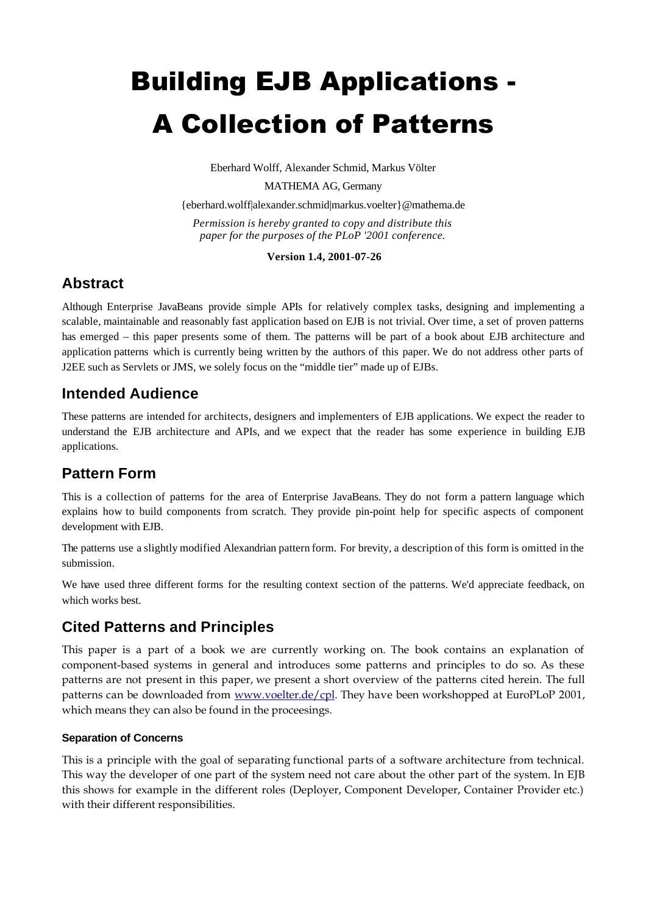# Building EJB Applications - A Collection of Patterns

Eberhard Wolff, Alexander Schmid, Markus Völter

MATHEMA AG, Germany

{eberhard.wolff|alexander.schmid|markus.voelter}@mathema.de

*Permission is hereby granted to copy and distribute this paper for the purposes of the PLoP '2001 conference.*

**Version 1.4, 2001-07-26**

# **Abstract**

Although Enterprise JavaBeans provide simple APIs for relatively complex tasks, designing and implementing a scalable, maintainable and reasonably fast application based on EJB is not trivial. Over time, a set of proven patterns has emerged – this paper presents some of them. The patterns will be part of a book about EJB architecture and application patterns which is currently being written by the authors of this paper. We do not address other parts of J2EE such as Servlets or JMS, we solely focus on the "middle tier" made up of EJBs.

# **Intended Audience**

These patterns are intended for architects, designers and implementers of EJB applications. We expect the reader to understand the EJB architecture and APIs, and we expect that the reader has some experience in building EJB applications.

# **Pattern Form**

This is a collection of patterns for the area of Enterprise JavaBeans. They do not form a pattern language which explains how to build components from scratch. They provide pin-point help for specific aspects of component development with EJB.

The patterns use a slightly modified Alexandrian pattern form. For brevity, a description of this form is omitted in the submission.

We have used three different forms for the resulting context section of the patterns. We'd appreciate feedback, on which works best.

# **Cited Patterns and Principles**

This paper is a part of a book we are currently working on. The book contains an explanation of component-based systems in general and introduces some patterns and principles to do so. As these patterns are not present in this paper, we present a short overview of the patterns cited herein. The full patterns can be downloaded from www.voelter.de/cpl. They have been workshopped at EuroPLoP 2001, which means they can also be found in the proceesings.

## **Separation of Concerns**

This is a principle with the goal of separating functional parts of a software architecture from technical. This way the developer of one part of the system need not care about the other part of the system. In EJB this shows for example in the different roles (Deployer, Component Developer, Container Provider etc.) with their different responsibilities.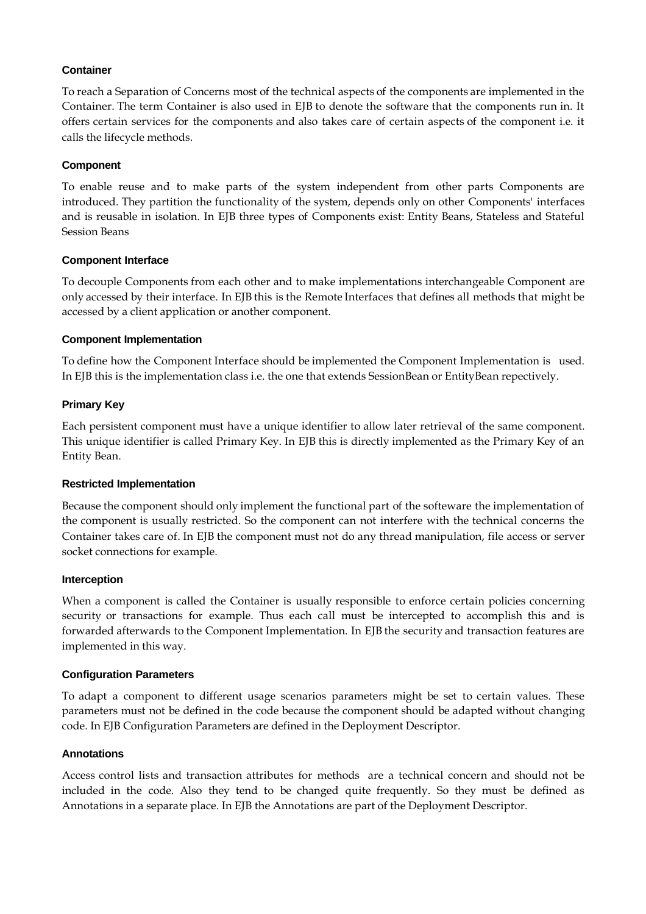## **Container**

To reach a Separation of Concerns most of the technical aspects of the components are implemented in the Container. The term Container is also used in EJB to denote the software that the components run in. It offers certain services for the components and also takes care of certain aspects of the component i.e. it calls the lifecycle methods.

## **Component**

To enable reuse and to make parts of the system independent from other parts Components are introduced. They partition the functionality of the system, depends only on other Components' interfaces and is reusable in isolation. In EJB three types of Components exist: Entity Beans, Stateless and Stateful Session Beans

## **Component Interface**

To decouple Components from each other and to make implementations interchangeable Component are only accessed by their interface. In EJB this is the Remote Interfaces that defines all methods that might be accessed by a client application or another component.

## **Component Implementation**

To define how the Component Interface should be implemented the Component Implementation is used. In EJB this is the implementation class i.e. the one that extends SessionBean or EntityBean repectively.

## **Primary Key**

Each persistent component must have a unique identifier to allow later retrieval of the same component. This unique identifier is called Primary Key. In EJB this is directly implemented as the Primary Key of an Entity Bean.

#### **Restricted Implementation**

Because the component should only implement the functional part of the softeware the implementation of the component is usually restricted. So the component can not interfere with the technical concerns the Container takes care of. In EJB the component must not do any thread manipulation, file access or server socket connections for example.

#### **Interception**

When a component is called the Container is usually responsible to enforce certain policies concerning security or transactions for example. Thus each call must be intercepted to accomplish this and is forwarded afterwards to the Component Implementation. In EJB the security and transaction features are implemented in this way.

#### **Configuration Parameters**

To adapt a component to different usage scenarios parameters might be set to certain values. These parameters must not be defined in the code because the component should be adapted without changing code. In EJB Configuration Parameters are defined in the Deployment Descriptor.

## **Annotations**

Access control lists and transaction attributes for methods are a technical concern and should not be included in the code. Also they tend to be changed quite frequently. So they must be defined as Annotations in a separate place. In EJB the Annotations are part of the Deployment Descriptor.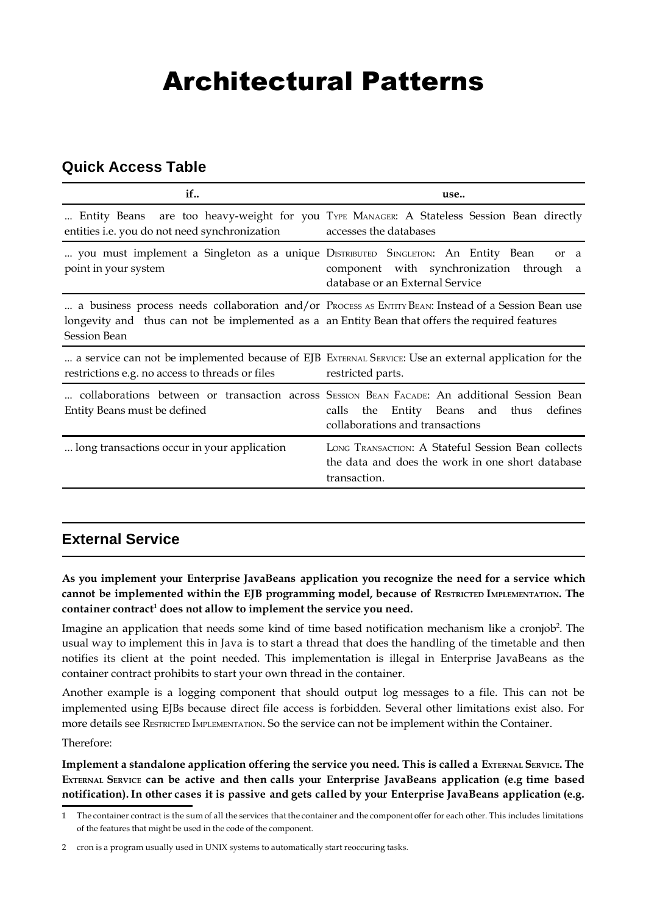# Architectural Patterns

# **Quick Access Table**

| if                                                                                                                     | use                                                                                                                                                                                    |
|------------------------------------------------------------------------------------------------------------------------|----------------------------------------------------------------------------------------------------------------------------------------------------------------------------------------|
| Entity Beans<br>entities i.e. you do not need synchronization                                                          | are too heavy-weight for you TYPE MANAGER: A Stateless Session Bean directly<br>accesses the databases                                                                                 |
| you must implement a Singleton as a unique DISTRIBUTED SINGLETON: An Entity Bean<br>point in your system               | <sub>or</sub><br>a<br>component with synchronization through<br>a<br>database or an External Service                                                                                   |
| longevity and thus can not be implemented as a an Entity Bean that offers the required features<br><b>Session Bean</b> | a business process needs collaboration and/or Process AS ENTITY BEAN: Instead of a Session Bean use                                                                                    |
| restrictions e.g. no access to threads or files                                                                        | a service can not be implemented because of EJB EXTERNAL SERVICE: Use an external application for the<br>restricted parts.                                                             |
| Entity Beans must be defined                                                                                           | collaborations between or transaction across SESSION BEAN FACADE: An additional Session Bean<br>Entity Beans and<br>calls<br>thus<br>defines<br>the<br>collaborations and transactions |
| long transactions occur in your application                                                                            | LONG TRANSACTION: A Stateful Session Bean collects<br>the data and does the work in one short database<br>transaction.                                                                 |

# **External Service**

**As you implement your Enterprise JavaBeans application you recognize the need for a service which cannot be implemented within the EJB programming model, because of RESTRICTED IMPLEMENTATION. The container contract<sup>1</sup> does not allow to implement the service you need.**

Imagine an application that needs some kind of time based notification mechanism like a cronjob<sup>2</sup>. The usual way to implement this in Java is to start a thread that does the handling of the timetable and then notifies its client at the point needed. This implementation is illegal in Enterprise JavaBeans as the container contract prohibits to start your own thread in the container.

Another example is a logging component that should output log messages to a file. This can not be implemented using EJBs because direct file access is forbidden. Several other limitations exist also. For more details see RESTRICTED IMPLEMENTATION. So the service can not be implement within the Container.

Therefore:

**Implement a standalone application offering the service you need. This is called a EXTERNAL SERVICE. The EXTERNAL SERVICE can be active and then calls your Enterprise JavaBeans application (e.g time based notification).In other cases it is passive and gets called by your Enterprise JavaBeans application (e.g.**

<sup>1</sup> The container contract is the sum of all the services that the container and the component offer for each other. This includes limitations of the features that might be used in the code of the component.

<sup>2</sup> cron is a program usually used in UNIX systems to automatically start reoccuring tasks.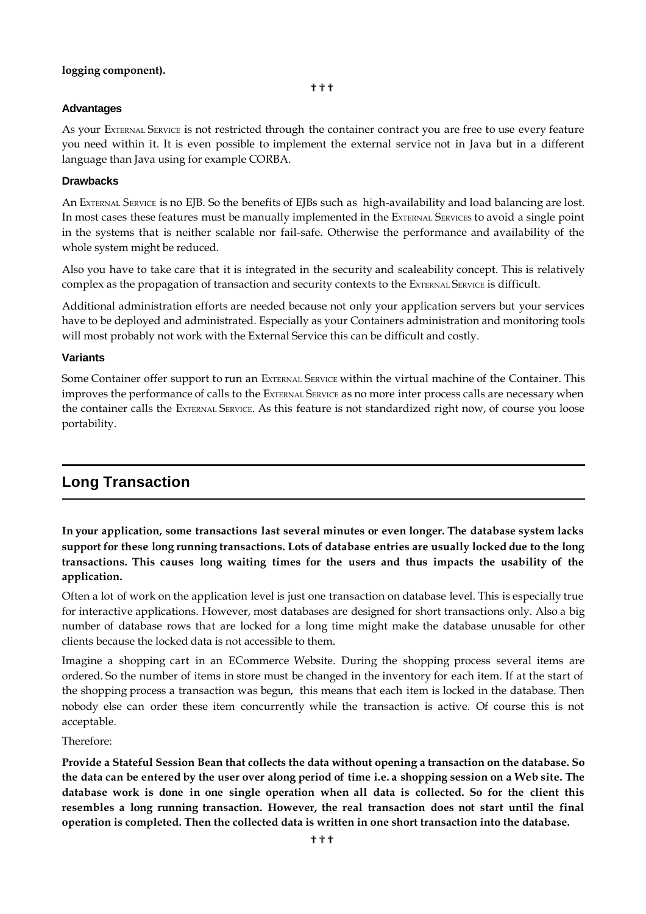#### **logging component).**

#### **Advantages**

As your EXTERNAL SERVICE is not restricted through the container contract you are free to use every feature you need within it. It is even possible to implement the external service not in Java but in a different language than Java using for example CORBA.

#### **Drawbacks**

An EXTERNAL SERVICE is no EJB. So the benefits of EJBs such as high-availability and load balancing are lost. In most cases these features must be manually implemented in the EXTERNAL SERVICES to avoid a single point in the systems that is neither scalable nor fail-safe. Otherwise the performance and availability of the whole system might be reduced.

Also you have to take care that it is integrated in the security and scaleability concept. This is relatively complex as the propagation of transaction and security contexts to the EXTERNAL SERVICE is difficult.

Additional administration efforts are needed because not only your application servers but your services have to be deployed and administrated. Especially as your Containers administration and monitoring tools will most probably not work with the External Service this can be difficult and costly.

#### **Variants**

Some Container offer support to run an EXTERNAL SERVICE within the virtual machine of the Container. This improves the performance of calls to the EXTERNAL SERVICE as no more inter process calls are necessary when the container calls the EXTERNAL SERVICE. As this feature is not standardized right now, of course you loose portability.

## **Long Transaction**

**In your application, some transactions last several minutes or even longer. The database system lacks support for these long running transactions. Lots of database entries are usually locked due to the long transactions. This causes long waiting times for the users and thus impacts the usability of the application.**

Often a lot of work on the application level is just one transaction on database level. This is especially true for interactive applications. However, most databases are designed for short transactions only. Also a big number of database rows that are locked for a long time might make the database unusable for other clients because the locked data is not accessible to them.

Imagine a shopping cart in an ECommerce Website. During the shopping process several items are ordered. So the number of items in store must be changed in the inventory for each item. If at the start of the shopping process a transaction was begun, this means that each item is locked in the database. Then nobody else can order these item concurrently while the transaction is active. Of course this is not acceptable.

#### Therefore:

**Provide a Stateful Session Bean that collects the data without opening a transaction on the database. So** the data can be entered by the user over along period of time i.e. a shopping session on a Web site. The **database work is done in one single operation when all data is collected. So for the client this resembles a long running transaction. However, the real transaction does not start until the final operation is completed. Then the collected data is written in one short transaction into the database.**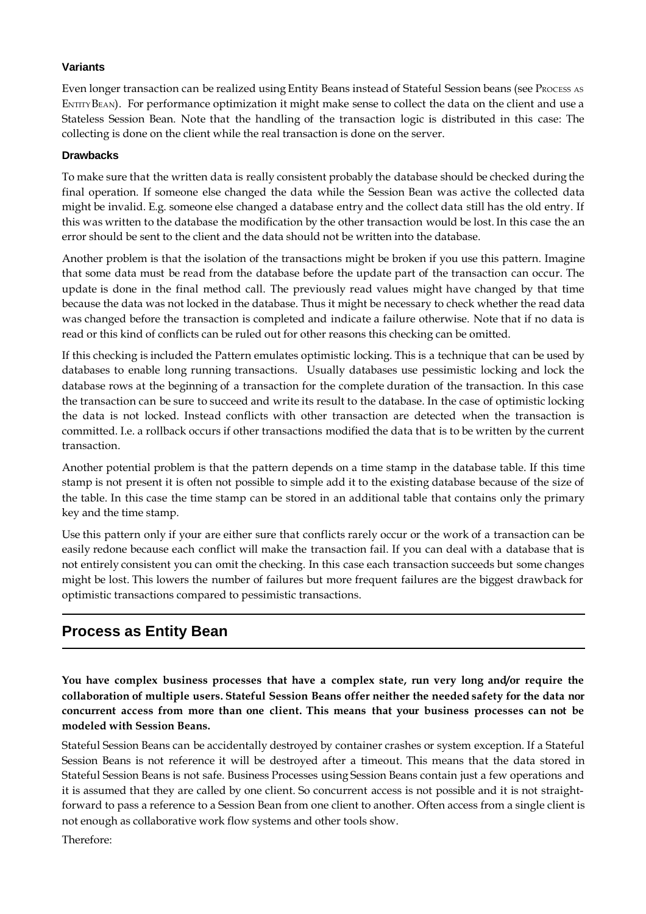## **Variants**

Even longer transaction can be realized using Entity Beans instead of Stateful Session beans (see PROCESS AS ENTITY BEAN). For performance optimization it might make sense to collect the data on the client and use a Stateless Session Bean. Note that the handling of the transaction logic is distributed in this case: The collecting is done on the client while the real transaction is done on the server.

### **Drawbacks**

To make sure that the written data is really consistent probably the database should be checked during the final operation. If someone else changed the data while the Session Bean was active the collected data might be invalid. E.g. someone else changed a database entry and the collect data still has the old entry. If this was written to the database the modification by the other transaction would be lost. In this case the an error should be sent to the client and the data should not be written into the database.

Another problem is that the isolation of the transactions might be broken if you use this pattern. Imagine that some data must be read from the database before the update part of the transaction can occur. The update is done in the final method call. The previously read values might have changed by that time because the data was not locked in the database. Thus it might be necessary to check whether the read data was changed before the transaction is completed and indicate a failure otherwise. Note that if no data is read or this kind of conflicts can be ruled out for other reasons this checking can be omitted.

If this checking is included the Pattern emulates optimistic locking. This is a technique that can be used by databases to enable long running transactions. Usually databases use pessimistic locking and lock the database rows at the beginning of a transaction for the complete duration of the transaction. In this case the transaction can be sure to succeed and write its result to the database. In the case of optimistic locking the data is not locked. Instead conflicts with other transaction are detected when the transaction is committed. I.e. a rollback occurs if other transactions modified the data that is to be written by the current transaction.

Another potential problem is that the pattern depends on a time stamp in the database table. If this time stamp is not present it is often not possible to simple add it to the existing database because of the size of the table. In this case the time stamp can be stored in an additional table that contains only the primary key and the time stamp.

Use this pattern only if your are either sure that conflicts rarely occur or the work of a transaction can be easily redone because each conflict will make the transaction fail. If you can deal with a database that is not entirely consistent you can omit the checking. In this case each transaction succeeds but some changes might be lost. This lowers the number of failures but more frequent failures are the biggest drawback for optimistic transactions compared to pessimistic transactions.

# **Process as Entity Bean**

**You have complex business processes that have a complex state, run very long and/or require the collaboration of multiple users. Stateful Session Beans offer neither the needed safety for the data nor concurrent access from more than one client. This means that your business processes can not be modeled with Session Beans.**

Stateful Session Beans can be accidentally destroyed by container crashes or system exception. If a Stateful Session Beans is not reference it will be destroyed after a timeout. This means that the data stored in Stateful Session Beans is not safe. Business Processes using Session Beans contain just a few operations and it is assumed that they are called by one client. So concurrent access is not possible and it is not straightforward to pass a reference to a Session Bean from one client to another. Often access from a single client is not enough as collaborative work flow systems and other tools show.

Therefore: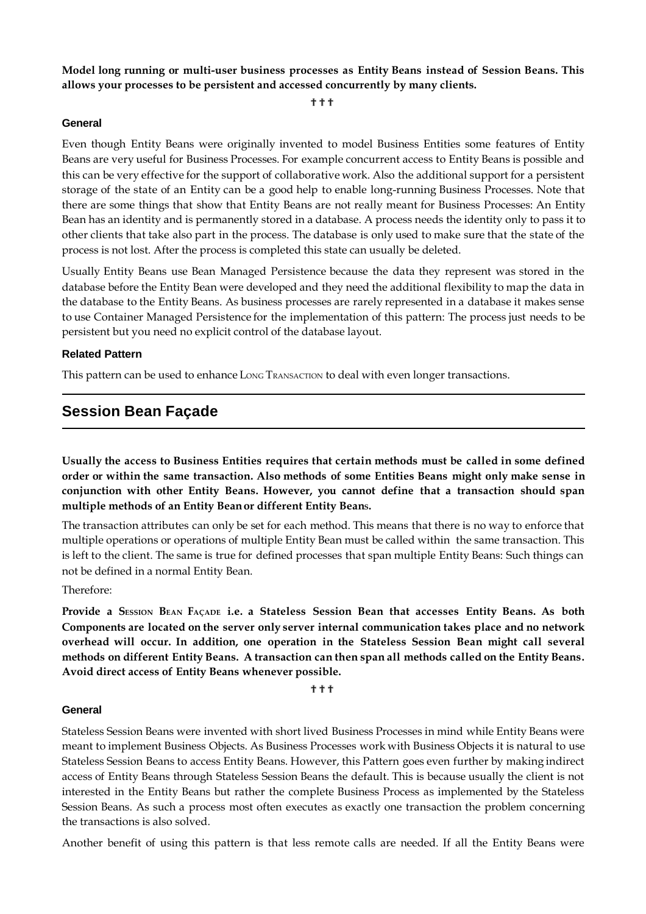**Model long running or multi-user business processes as Entity Beans instead of Session Beans. This allows your processes to be persistent and accessed concurrently by many clients.**

???

#### **General**

Even though Entity Beans were originally invented to model Business Entities some features of Entity Beans are very useful for Business Processes. For example concurrent access to Entity Beans is possible and this can be very effective for the support of collaborative work. Also the additional support for a persistent storage of the state of an Entity can be a good help to enable long-running Business Processes. Note that there are some things that show that Entity Beans are not really meant for Business Processes: An Entity Bean has an identity and is permanently stored in a database. A process needs the identity only to pass it to other clients that take also part in the process. The database is only used to make sure that the state of the process is not lost. After the process is completed this state can usually be deleted.

Usually Entity Beans use Bean Managed Persistence because the data they represent was stored in the database before the Entity Bean were developed and they need the additional flexibility to map the data in the database to the Entity Beans. As business processes are rarely represented in a database it makes sense to use Container Managed Persistence for the implementation of this pattern: The process just needs to be persistent but you need no explicit control of the database layout.

#### **Related Pattern**

This pattern can be used to enhance LONG TRANSACTION to deal with even longer transactions.

## **Session Bean Façade**

**Usually the access to Business Entities requires that certain methods must be called in some defined order or within the same transaction. Also methods of some Entities Beans might only make sense in conjunction with other Entity Beans. However, you cannot define that a transaction should span multiple methods of an Entity Beanor different Entity BeanS.**

The transaction attributes can only be set for each method. This means that there is no way to enforce that multiple operations or operations of multiple Entity Bean must be called within the same transaction. This is left to the client. The same is true for defined processes that span multiple Entity Beans: Such things can not be defined in a normal Entity Bean.

Therefore:

Provide a SESSION BEAN FAÇADE i.e. a Stateless Session Bean that accesses Entity Beans. As both **Components are located on the server only server internal communication takes place and no network overhead will occur. In addition, one operation in the Stateless Session Bean might call several methods on different Entity Beans. A transaction can then span all methods called on the Entity Beans. Avoid direct access of Entity Beans whenever possible.**

???

#### **General**

Stateless Session Beans were invented with short lived Business Processes in mind while Entity Beans were meant to implement Business Objects. As Business Processes work with Business Objects it is natural to use Stateless Session Beans to access Entity Beans. However, this Pattern goes even further by making indirect access of Entity Beans through Stateless Session Beans the default. This is because usually the client is not interested in the Entity Beans but rather the complete Business Process as implemented by the Stateless Session Beans. As such a process most often executes as exactly one transaction the problem concerning the transactions is also solved.

Another benefit of using this pattern is that less remote calls are needed. If all the Entity Beans were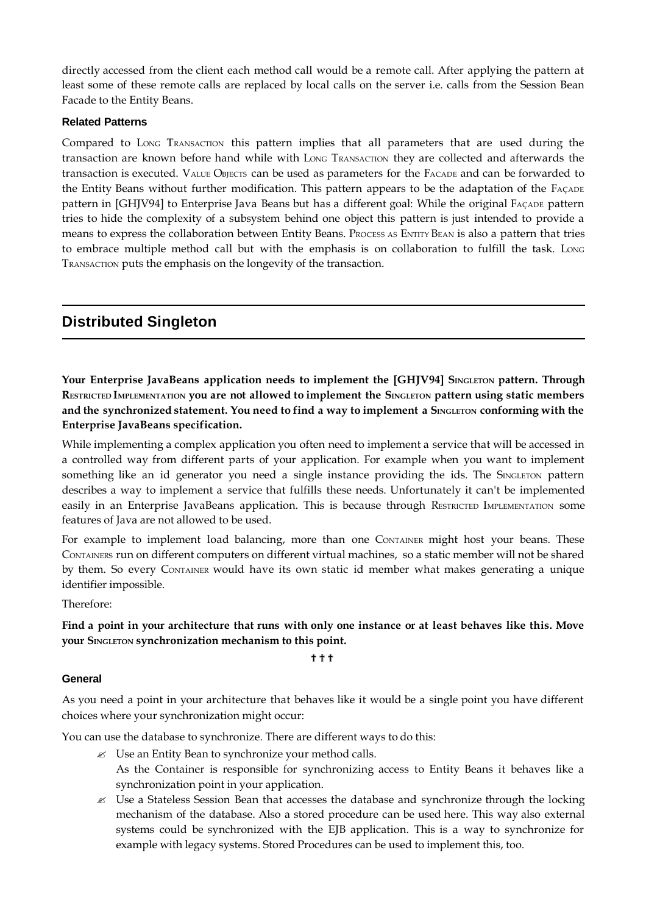directly accessed from the client each method call would be a remote call. After applying the pattern at least some of these remote calls are replaced by local calls on the server i.e. calls from the Session Bean Facade to the Entity Beans.

#### **Related Patterns**

Compared to LONG TRANSACTION this pattern implies that all parameters that are used during the transaction are known before hand while with LONG TRANSACTION they are collected and afterwards the transaction is executed. VALUE OBJECTS can be used as parameters for the FACADE and can be forwarded to the Entity Beans without further modification. This pattern appears to be the adaptation of the FAÇADE pattern in [GHJV94] to Enterprise Java Beans but has a different goal: While the original FAÇADE pattern tries to hide the complexity of a subsystem behind one object this pattern is just intended to provide a means to express the collaboration between Entity Beans. Process AS ENTITY BEAN is also a pattern that tries to embrace multiple method call but with the emphasis is on collaboration to fulfill the task. Long TRANSACTION puts the emphasis on the longevity of the transaction.

# **Distributed Singleton**

**Your Enterprise JavaBeans application needs to implement the [GHJV94] SINGLETON pattern. Through RESTRICTED IMPLEMENTATION you are not allowed to implement the SINGLETON pattern using static members** and the synchronized statement. You need to find a way to implement a SINGLETON conforming with the **Enterprise JavaBeans specification.**

While implementing a complex application you often need to implement a service that will be accessed in a controlled way from different parts of your application. For example when you want to implement something like an id generator you need a single instance providing the ids. The SINGLETON pattern describes a way to implement a service that fulfills these needs. Unfortunately it can't be implemented easily in an Enterprise JavaBeans application. This is because through RESTRICTED IMPLEMENTATION some features of Java are not allowed to be used.

For example to implement load balancing, more than one CONTAINER might host your beans. These CONTAINERS run on different computers on different virtual machines, so a static member will not be shared by them. So every CONTAINER would have its own static id member what makes generating a unique identifier impossible.

Therefore:

## Find a point in your architecture that runs with only one instance or at least behaves like this. Move **your SINGLETON synchronization mechanism to this point.**

???

## **General**

As you need a point in your architecture that behaves like it would be a single point you have different choices where your synchronization might occur:

You can use the database to synchronize. There are different ways to do this:

- $\mathscr{L}$  Use an Entity Bean to synchronize your method calls. As the Container is responsible for synchronizing access to Entity Beans it behaves like a synchronization point in your application.
- $\mathcal{L}$  Use a Stateless Session Bean that accesses the database and synchronize through the locking mechanism of the database. Also a stored procedure can be used here. This way also external systems could be synchronized with the EJB application. This is a way to synchronize for example with legacy systems. Stored Procedures can be used to implement this, too.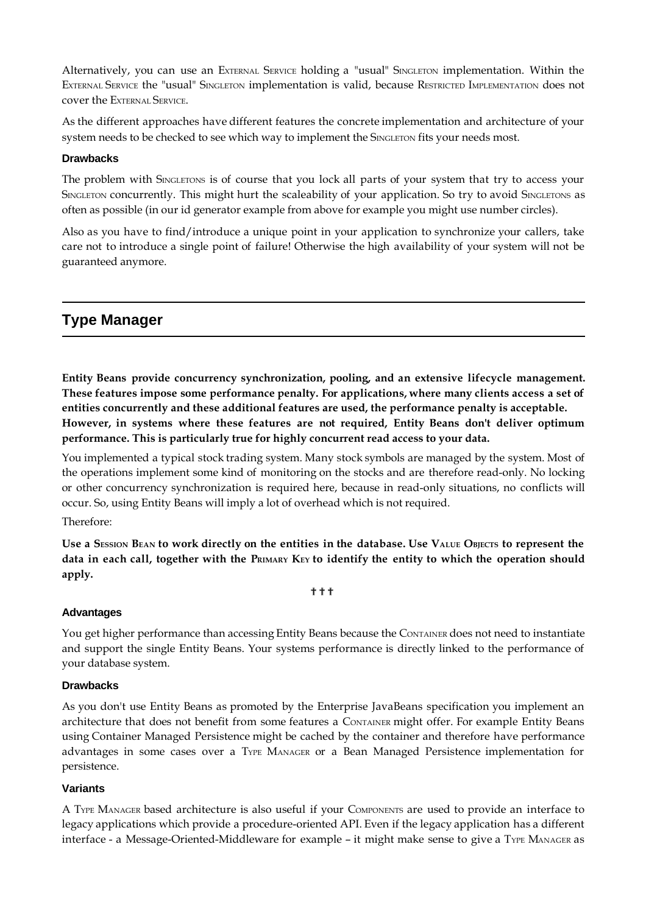Alternatively, you can use an EXTERNAL SERVICE holding a "usual" SINGLETON implementation. Within the EXTERNAL SERVICE the "usual" SINGLETON implementation is valid, because RESTRICTED IMPLEMENTATION does not cover the EXTERNAL SERVICE.

As the different approaches have different features the concrete implementation and architecture of your system needs to be checked to see which way to implement the SINGLETON fits your needs most.

### **Drawbacks**

The problem with SINGLETONS is of course that you lock all parts of your system that try to access your SINGLETON concurrently. This might hurt the scaleability of your application. So try to avoid SINGLETONS as often as possible (in our id generator example from above for example you might use number circles).

Also as you have to find/introduce a unique point in your application to synchronize your callers, take care not to introduce a single point of failure! Otherwise the high availability of your system will not be guaranteed anymore.

# **Type Manager**

**Entity Beans provide concurrency synchronization, pooling, and an extensive lifecycle management. These features impose some performance penalty. For applications, where many clients access a set of entities concurrently and these additional features are used, the performance penalty is acceptable. However, in systems where these features are not required, Entity Beans don't deliver optimum performance. This is particularly true for highly concurrent read access to your data.**

You implemented a typical stock trading system. Many stock symbols are managed by the system. Most of the operations implement some kind of monitoring on the stocks and are therefore read-only. No locking or other concurrency synchronization is required here, because in read-only situations, no conflicts will occur. So, using Entity Beans will imply a lot of overhead which is not required.

#### Therefore:

Use a SESSION BEAN to work directly on the entities in the database. Use VALUE OBJECTS to represent the data in each call, together with the PRIMARY KEY to identify the entity to which the operation should **apply.**

#### ???

#### **Advantages**

You get higher performance than accessing Entity Beans because the CONTAINER does not need to instantiate and support the single Entity Beans. Your systems performance is directly linked to the performance of your database system.

#### **Drawbacks**

As you don't use Entity Beans as promoted by the Enterprise JavaBeans specification you implement an architecture that does not benefit from some features a CONTAINER might offer. For example Entity Beans using Container Managed Persistence might be cached by the container and therefore have performance advantages in some cases over a TYPE MANAGER or a Bean Managed Persistence implementation for persistence.

### **Variants**

A TYPE MANAGER based architecture is also useful if your COMPONENTS are used to provide an interface to legacy applications which provide a procedure-oriented API. Even if the legacy application has a different interface - a Message-Oriented-Middleware for example – it might make sense to give a TYPE MANAGER as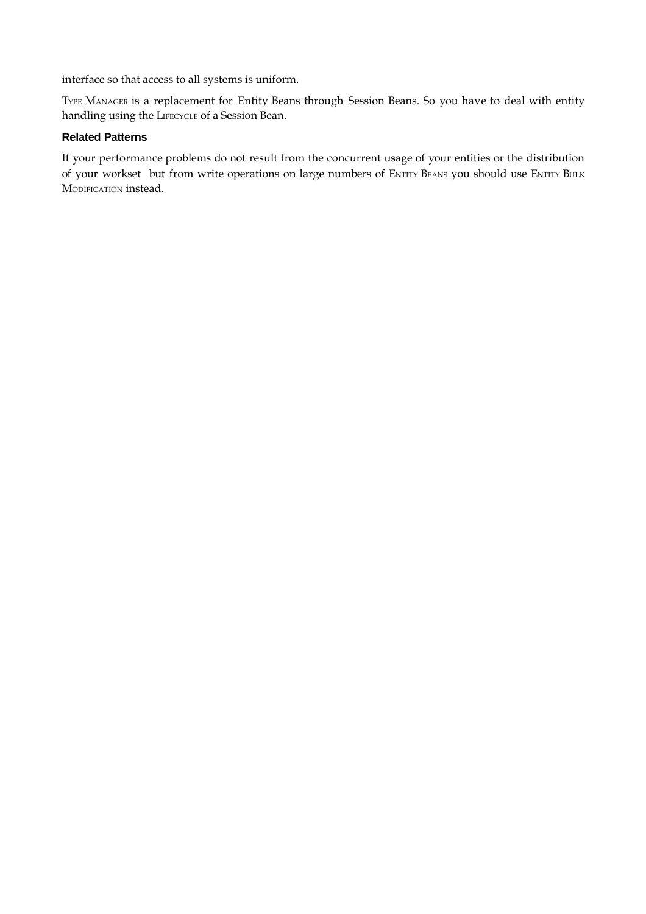interface so that access to all systems is uniform.

TYPE MANAGER is a replacement for Entity Beans through Session Beans. So you have to deal with entity handling using the LIFECYCLE of a Session Bean.

## **Related Patterns**

If your performance problems do not result from the concurrent usage of your entities or the distribution of your workset but from write operations on large numbers of ENTITY BEANS you should use ENTITY BULK MODIFICATION instead.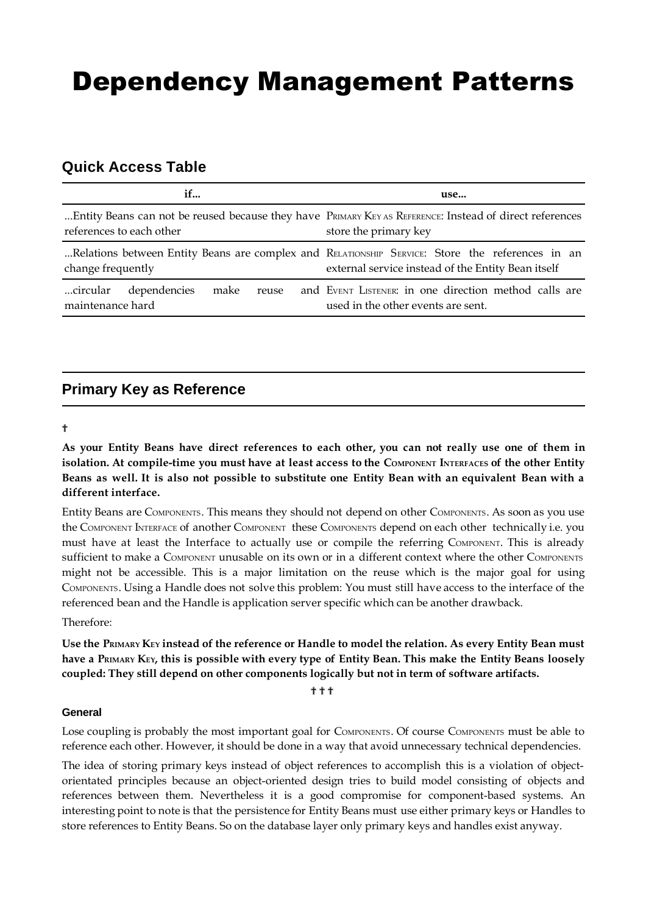# Dependency Management Patterns

# **Quick Access Table**

| if                                                            | use                                                                                                                                                   |
|---------------------------------------------------------------|-------------------------------------------------------------------------------------------------------------------------------------------------------|
| references to each other                                      | Entity Beans can not be reused because they have PRIMARY KEY AS REFERENCE: Instead of direct references<br>store the primary key                      |
| change frequently                                             | Relations between Entity Beans are complex and RELATIONSHIP SERVICE: Store the references in an<br>external service instead of the Entity Bean itself |
| dependencies<br>make<br>circular<br>reuse<br>maintenance hard | and EVENT LISTENER: in one direction method calls are<br>used in the other events are sent.                                                           |

# **Primary Key as Reference**

#### ?

As your Entity Beans have direct references to each other, you can not really use one of them in isolation. At compile-time you must have at least access to the COMPONENT INTERFACES of the other Entity Beans as well. It is also not possible to substitute one Entity Bean with an equivalent Bean with a **different interface.**

Entity Beans are COMPONENTS. This means they should not depend on other COMPONENTS. As soon as you use the COMPONENT INTERFACE of another COMPONENT these COMPONENTS depend on each other technically i.e. you must have at least the Interface to actually use or compile the referring COMPONENT. This is already sufficient to make a COMPONENT unusable on its own or in a different context where the other COMPONENTS might not be accessible. This is a major limitation on the reuse which is the major goal for using COMPONENTS. Using a Handle does not solve this problem: You must still have access to the interface of the referenced bean and the Handle is application server specific which can be another drawback.

Therefore:

**Use the PRIMARY KEY instead of the reference or Handle to model the relation. As every Entity Bean must** have a PRIMARY KEY, this is possible with every type of Entity Bean. This make the Entity Beans loosely **coupled: They still depend on other components logically but not in term of software artifacts.**

???

#### **General**

Lose coupling is probably the most important goal for COMPONENTS. Of course COMPONENTS must be able to reference each other. However, it should be done in a way that avoid unnecessary technical dependencies.

The idea of storing primary keys instead of object references to accomplish this is a violation of objectorientated principles because an object-oriented design tries to build model consisting of objects and references between them. Nevertheless it is a good compromise for component-based systems. An interesting point to note is that the persistence for Entity Beans must use either primary keys or Handles to store references to Entity Beans. So on the database layer only primary keys and handles exist anyway.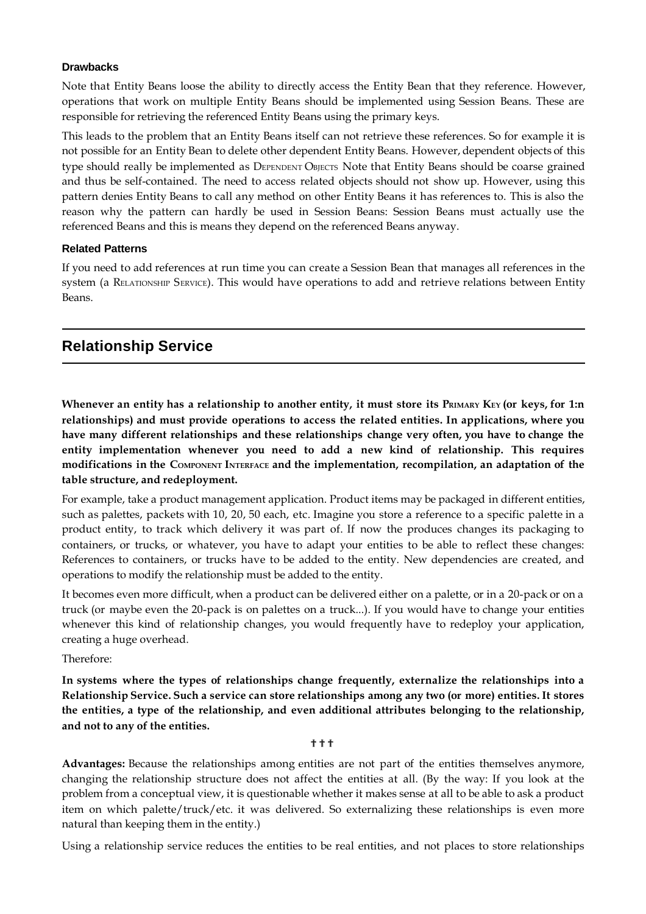#### **Drawbacks**

Note that Entity Beans loose the ability to directly access the Entity Bean that they reference. However, operations that work on multiple Entity Beans should be implemented using Session Beans. These are responsible for retrieving the referenced Entity Beans using the primary keys.

This leads to the problem that an Entity Beans itself can not retrieve these references. So for example it is not possible for an Entity Bean to delete other dependent Entity Beans. However, dependent objects of this type should really be implemented as DEPENDENT OBJECTS Note that Entity Beans should be coarse grained and thus be self-contained. The need to access related objects should not show up. However, using this pattern denies Entity Beans to call any method on other Entity Beans it has references to. This is also the reason why the pattern can hardly be used in Session Beans: Session Beans must actually use the referenced Beans and this is means they depend on the referenced Beans anyway.

#### **Related Patterns**

If you need to add references at run time you can create a Session Bean that manages all references in the system (a RELATIONSHIP SERVICE). This would have operations to add and retrieve relations between Entity Beans.

## **Relationship Service**

Whenever an entity has a relationship to another entity, it must store its PRIMARY KEY (or keys, for 1:n **relationships) and must provide operations to access the related entities. In applications, where you have many different relationships and these relationships change very often, you have to change the entity implementation whenever you need to add a new kind of relationship. This requires modifications in the COMPONENT INTERFACE and the implementation, recompilation, an adaptation of the table structure, and redeployment.**

For example, take a product management application. Product items may be packaged in different entities, such as palettes, packets with 10, 20, 50 each, etc. Imagine you store a reference to a specific palette in a product entity, to track which delivery it was part of. If now the produces changes its packaging to containers, or trucks, or whatever, you have to adapt your entities to be able to reflect these changes: References to containers, or trucks have to be added to the entity. New dependencies are created, and operations to modify the relationship must be added to the entity.

It becomes even more difficult, when a product can be delivered either on a palette, or in a 20-pack or on a truck (or maybe even the 20-pack is on palettes on a truck...). If you would have to change your entities whenever this kind of relationship changes, you would frequently have to redeploy your application, creating a huge overhead.

Therefore:

**In systems where the types of relationships change frequently, externalize the relationships into a Relationship Service. Such a service can store relationships among any two (or more) entities. It stores the entities, a type of the relationship, and even additional attributes belonging to the relationship, and not to any of the entities.**

#### ???

**Advantages:** Because the relationships among entities are not part of the entities themselves anymore, changing the relationship structure does not affect the entities at all. (By the way: If you look at the problem from a conceptual view, it is questionable whether it makes sense at all to be able to ask a product item on which palette/truck/etc. it was delivered. So externalizing these relationships is even more natural than keeping them in the entity.)

Using a relationship service reduces the entities to be real entities, and not places to store relationships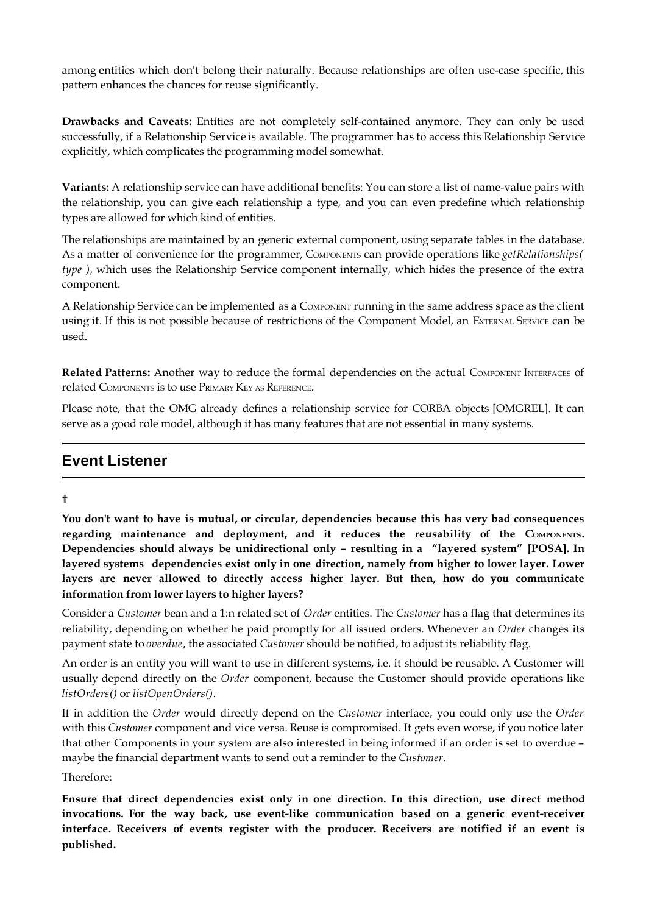among entities which don't belong their naturally. Because relationships are often use-case specific, this pattern enhances the chances for reuse significantly.

**Drawbacks and Caveats:** Entities are not completely self-contained anymore. They can only be used successfully, if a Relationship Service is available. The programmer has to access this Relationship Service explicitly, which complicates the programming model somewhat.

**Variants:** A relationship service can have additional benefits: You can store a list of name-value pairs with the relationship, you can give each relationship a type, and you can even predefine which relationship types are allowed for which kind of entities.

The relationships are maintained by an generic external component, using separate tables in the database. As a matter of convenience for the programmer, COMPONENTS can provide operations like *getRelationships( type )*, which uses the Relationship Service component internally, which hides the presence of the extra component.

A Relationship Service can be implemented as a COMPONENT running in the same address space as the client using it. If this is not possible because of restrictions of the Component Model, an EXTERNAL SERVICE can be used.

**Related Patterns:** Another way to reduce the formal dependencies on the actual COMPONENT INTERFACES of related COMPONENTS is to use PRIMARY KEY AS REFERENCE.

Please note, that the OMG already defines a relationship service for CORBA objects [OMGREL]. It can serve as a good role model, although it has many features that are not essential in many systems.

# **Event Listener**

#### ?

**You don't want to have is mutual, or circular, dependencies because this has very bad consequences regarding maintenance and deployment, and it reduces the reusability of the COMPONENTS. Dependencies should always be unidirectional only – resulting in a "layered system" [POSA]. In layered systems dependencies exist only in one direction, namely from higher to lower layer. Lower layers are never allowed to directly access higher layer. But then, how do you communicate information from lower layers to higher layers?**

Consider a *Customer* bean and a 1:n related set of *Order* entities. The *Customer* has a flag that determines its reliability, depending on whether he paid promptly for all issued orders. Whenever an *Order* changes its payment state to *overdue*, the associated *Customer* should be notified, to adjust its reliability flag.

An order is an entity you will want to use in different systems, i.e. it should be reusable. A Customer will usually depend directly on the *Order* component, because the Customer should provide operations like *listOrders()* or *listOpenOrders()*.

If in addition the *Order* would directly depend on the *Customer* interface, you could only use the *Order* with this *Customer* component and vice versa. Reuse is compromised. It gets even worse, if you notice later that other Components in your system are also interested in being informed if an order is set to overdue – maybe the financial department wants to send out a reminder to the *Customer*.

Therefore:

**Ensure that direct dependencies exist only in one direction. In this direction, use direct method invocations. For the way back, use event-like communication based on a generic event-receiver interface. Receivers of events register with the producer. Receivers are notified if an event is published.**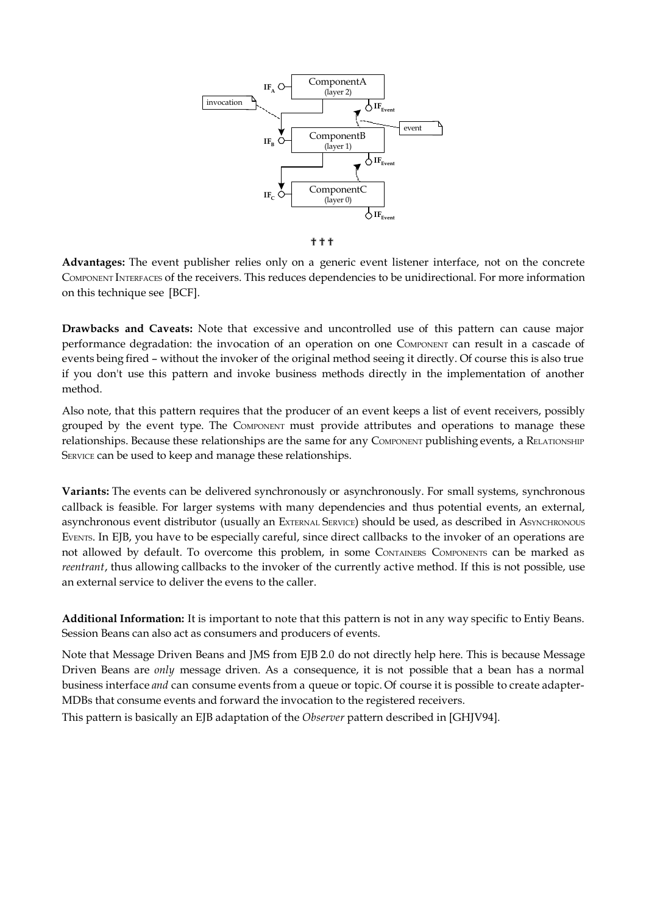

???

**Advantages:** The event publisher relies only on a generic event listener interface, not on the concrete COMPONENT INTERFACES of the receivers. This reduces dependencies to be unidirectional. For more information on this technique see [BCF].

**Drawbacks and Caveats:** Note that excessive and uncontrolled use of this pattern can cause major performance degradation: the invocation of an operation on one COMPONENT can result in a cascade of events being fired – without the invoker of the original method seeing it directly. Of course this is also true if you don't use this pattern and invoke business methods directly in the implementation of another method.

Also note, that this pattern requires that the producer of an event keeps a list of event receivers, possibly grouped by the event type. The COMPONENT must provide attributes and operations to manage these relationships. Because these relationships are the same for any COMPONENT publishing events, a RELATIONSHIP SERVICE can be used to keep and manage these relationships.

**Variants:** The events can be delivered synchronously or asynchronously. For small systems, synchronous callback is feasible. For larger systems with many dependencies and thus potential events, an external, asynchronous event distributor (usually an EXTERNAL SERVICE) should be used, as described in ASYNCHRONOUS EVENTS. In EJB, you have to be especially careful, since direct callbacks to the invoker of an operations are not allowed by default. To overcome this problem, in some CONTAINERS COMPONENTS can be marked as *reentrant*, thus allowing callbacks to the invoker of the currently active method. If this is not possible, use an external service to deliver the evens to the caller.

**Additional Information:** It is important to note that this pattern is not in any way specific to Entiy Beans. Session Beans can also act as consumers and producers of events.

Note that Message Driven Beans and JMS from EJB 2.0 do not directly help here. This is because Message Driven Beans are *only* message driven. As a consequence, it is not possible that a bean has a normal business interface *and* can consume events from a queue or topic. Of course it is possible to create adapter-MDBs that consume events and forward the invocation to the registered receivers.

This pattern is basically an EJB adaptation of the *Observer* pattern described in [GHJV94].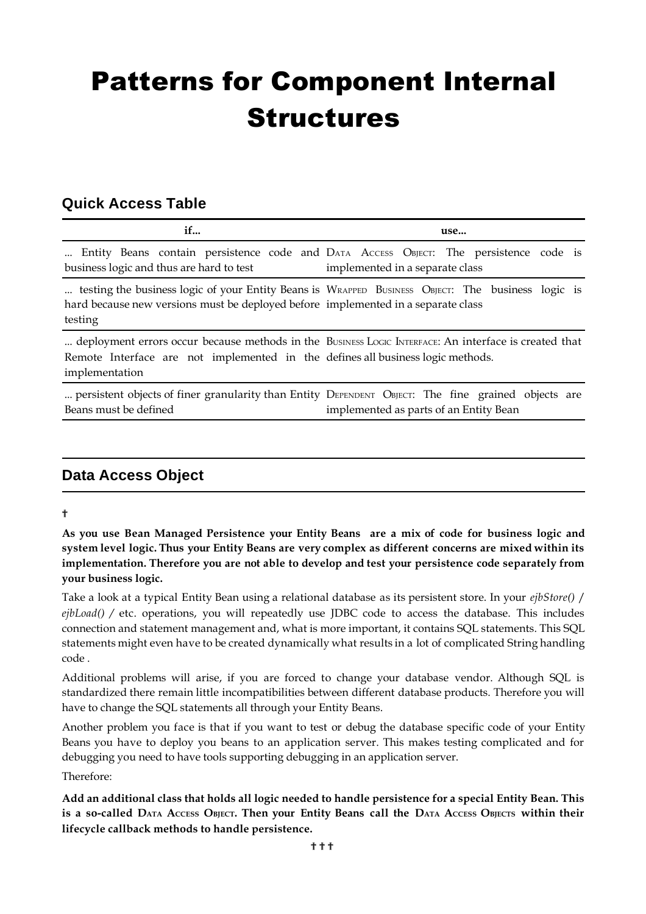# Patterns for Component Internal Structures

# **Quick Access Table**

| if                                                                                                | use                                                                                                                      |
|---------------------------------------------------------------------------------------------------|--------------------------------------------------------------------------------------------------------------------------|
| business logic and thus are hard to test                                                          | Entity Beans contain persistence code and DATA Access OBJECT: The persistence code is<br>implemented in a separate class |
| hard because new versions must be deployed before implemented in a separate class<br>testing      | testing the business logic of your Entity Beans is WRAPPED BUSINESS OBJECT: The business logic is                        |
| Remote Interface are not implemented in the defines all business logic methods.<br>implementation | deployment errors occur because methods in the BUSINESS LOGIC INTERFACE: An interface is created that                    |
|                                                                                                   | persistent objects of finer granularity than Entity DEPENDENT ORIECT: The fine grained objects are                       |

persistent objects of finer g Beans must be defined DEPENDENT OBJECT: The fine grained objects are implemented as parts of an Entity Bean

# **Data Access Object**

## ?

As you use Bean Managed Persistence your Entity Beans are a mix of code for business logic and system level logic. Thus your Entity Beans are very complex as different concerns are mixed within its **implementation. Therefore you are not able to develop and test your persistence code separately from your business logic.**

Take a look at a typical Entity Bean using a relational database as its persistent store. In your *ejbStore()* / *ejbLoad() /* etc. operations, you will repeatedly use JDBC code to access the database. This includes connection and statement management and, what is more important, it contains SQL statements. This SQL statements might even have to be created dynamically what results in a lot of complicated String handling code .

Additional problems will arise, if you are forced to change your database vendor. Although SQL is standardized there remain little incompatibilities between different database products. Therefore you will have to change the SQL statements all through your Entity Beans.

Another problem you face is that if you want to test or debug the database specific code of your Entity Beans you have to deploy you beans to an application server. This makes testing complicated and for debugging you need to have tools supporting debugging in an application server.

Therefore:

**Add an additional class that holds all logic needed to handle persistence for a special Entity Bean. This** is a so-called DATA ACCESS OBJECT. Then your Entity Beans call the DATA ACCESS OBJECTS within their **lifecycle callback methods to handle persistence.**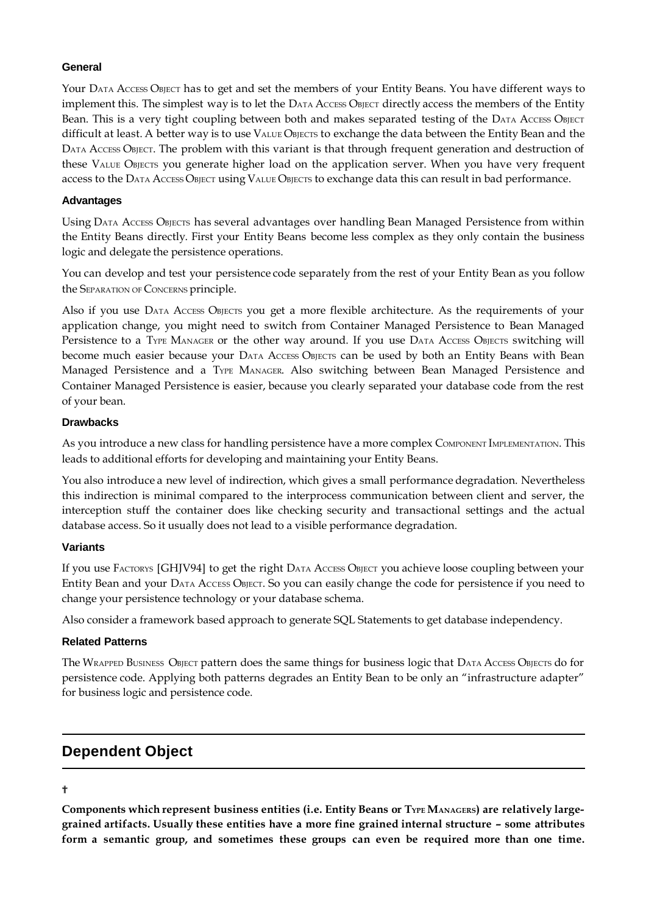### **General**

Your DATA ACCESS OBJECT has to get and set the members of your Entity Beans. You have different ways to implement this. The simplest way is to let the DATA ACCESS OBJECT directly access the members of the Entity Bean. This is a very tight coupling between both and makes separated testing of the DATA Access OBJECT difficult at least. A better way is to use VALUE OBJECTS to exchange the data between the Entity Bean and the DATA ACCESS OBJECT. The problem with this variant is that through frequent generation and destruction of these VALUE OBJECTS you generate higher load on the application server. When you have very frequent access to the DATA ACCESS OBJECT using VALUE OBJECTS to exchange data this can result in bad performance.

## **Advantages**

Using DATA ACCESS OBJECTS has several advantages over handling Bean Managed Persistence from within the Entity Beans directly. First your Entity Beans become less complex as they only contain the business logic and delegate the persistence operations.

You can develop and test your persistence code separately from the rest of your Entity Bean as you follow the SEPARATION OF CONCERNS principle.

Also if you use DATA ACCESS OBJECTS you get a more flexible architecture. As the requirements of your application change, you might need to switch from Container Managed Persistence to Bean Managed Persistence to a TYPE MANAGER or the other way around. If you use DATA Access OBJECTS switching will become much easier because your DATA Access OBJECTS can be used by both an Entity Beans with Bean Managed Persistence and a TYPE MANAGER. Also switching between Bean Managed Persistence and Container Managed Persistence is easier, because you clearly separated your database code from the rest of your bean.

## **Drawbacks**

As you introduce a new class for handling persistence have a more complex COMPONENT IMPLEMENTATION. This leads to additional efforts for developing and maintaining your Entity Beans.

You also introduce a new level of indirection, which gives a small performance degradation. Nevertheless this indirection is minimal compared to the interprocess communication between client and server, the interception stuff the container does like checking security and transactional settings and the actual database access. So it usually does not lead to a visible performance degradation.

#### **Variants**

If you use FACTORYS [GHJV94] to get the right DATA Access OBJECT you achieve loose coupling between your Entity Bean and your DATA ACCESS OBJECT. So you can easily change the code for persistence if you need to change your persistence technology or your database schema.

Also consider a framework based approach to generate SQL Statements to get database independency.

#### **Related Patterns**

The WRAPPED BUSINESS OBJECT pattern does the same things for business logic that DATA ACCESS OBJECTS do for persistence code. Applying both patterns degrades an Entity Bean to be only an "infrastructure adapter" for business logic and persistence code.

## **Dependent Object**

### ?

**Components which represent business entities (i.e. Entity Beans or TYPE MANAGERS) are relatively largegrained artifacts. Usually these entities have a more fine grained internal structure – some attributes form a semantic group, and sometimes these groups can even be required more than one time.**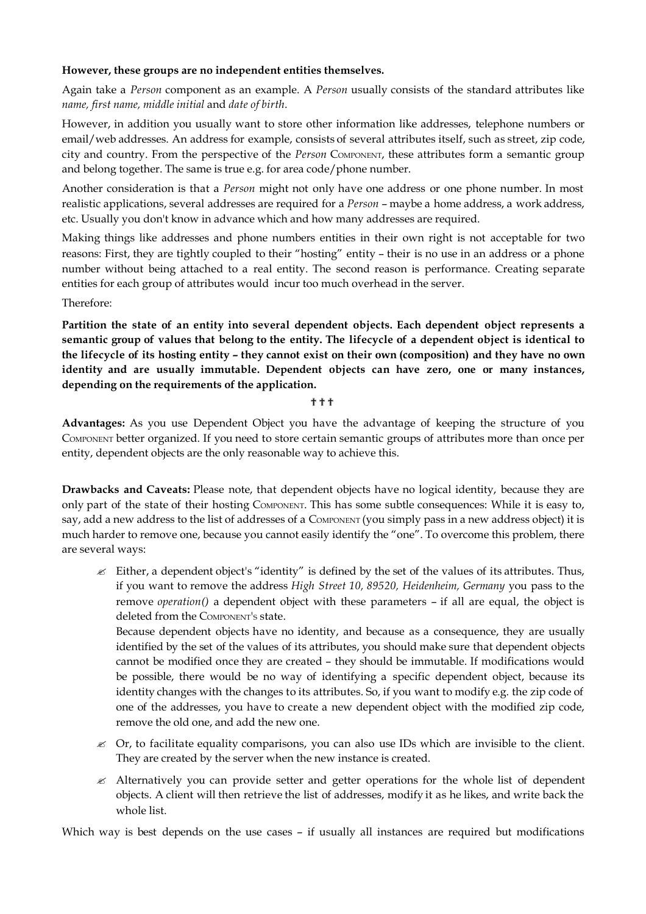### **However, these groups are no independent entities themselves.**

Again take a *Person* component as an example. A *Person* usually consists of the standard attributes like *name, first name, middle initial* and *date of birth*.

However, in addition you usually want to store other information like addresses, telephone numbers or email/web addresses. An address for example, consists of several attributes itself, such as street, zip code, city and country. From the perspective of the *Person* COMPONENT, these attributes form a semantic group and belong together. The same is true e.g. for area code/phone number.

Another consideration is that a *Person* might not only have one address or one phone number. In most realistic applications, several addresses are required for a *Person* – maybe a home address, a work address, etc. Usually you don't know in advance which and how many addresses are required.

Making things like addresses and phone numbers entities in their own right is not acceptable for two reasons: First, they are tightly coupled to their "hosting" entity – their is no use in an address or a phone number without being attached to a real entity. The second reason is performance. Creating separate entities for each group of attributes would incur too much overhead in the server.

Therefore:

**Partition the state of an entity into several dependent objects. Each dependent object represents a** semantic group of values that belong to the entity. The lifecycle of a dependent object is identical to the lifecycle of its hosting entity - they cannot exist on their own (composition) and they have no own **identity and are usually immutable. Dependent objects can have zero, one or many instances, depending on the requirements of the application.**

???

**Advantages:** As you use Dependent Object you have the advantage of keeping the structure of you COMPONENT better organized. If you need to store certain semantic groups of attributes more than once per entity, dependent objects are the only reasonable way to achieve this.

**Drawbacks and Caveats:** Please note, that dependent objects have no logical identity, because they are only part of the state of their hosting COMPONENT. This has some subtle consequences: While it is easy to, say, add a new address to the list of addresses of a COMPONENT (you simply pass in a new address object) it is much harder to remove one, because you cannot easily identify the "one". To overcome this problem, there are several ways:

 $\&\&\to\&$  Either, a dependent object's "identity" is defined by the set of the values of its attributes. Thus, if you want to remove the address *High Street 10, 89520, Heidenheim, Germany* you pass to the remove *operation()* a dependent object with these parameters – if all are equal, the object is deleted from the COMPONENT'S state.

Because dependent objects have no identity, and because as a consequence, they are usually identified by the set of the values of its attributes, you should make sure that dependent objects cannot be modified once they are created – they should be immutable. If modifications would be possible, there would be no way of identifying a specific dependent object, because its identity changes with the changes to its attributes. So, if you want to modify e.g. the zip code of one of the addresses, you have to create a new dependent object with the modified zip code, remove the old one, and add the new one.

- $\&$  Or, to facilitate equality comparisons, you can also use IDs which are invisible to the client. They are created by the server when the new instance is created.
- $\mathscr{\mathscr{L}}$  Alternatively you can provide setter and getter operations for the whole list of dependent objects. A client will then retrieve the list of addresses, modify it as he likes, and write back the whole list.

Which way is best depends on the use cases – if usually all instances are required but modifications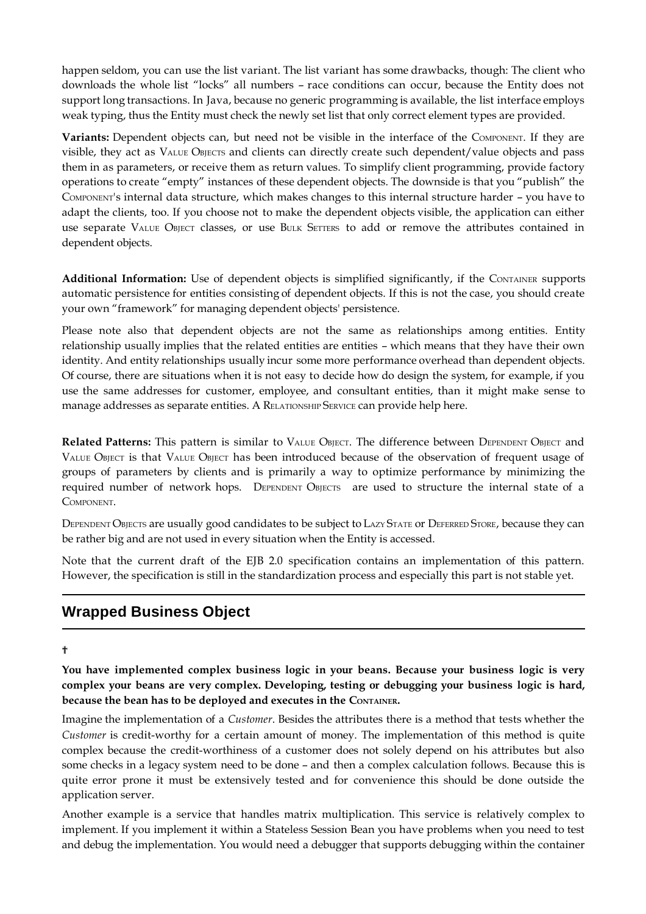happen seldom, you can use the list variant. The list variant has some drawbacks, though: The client who downloads the whole list "locks" all numbers – race conditions can occur, because the Entity does not support long transactions. In Java, because no generic programming is available, the list interface employs weak typing, thus the Entity must check the newly set list that only correct element types are provided.

**Variants:** Dependent objects can, but need not be visible in the interface of the COMPONENT. If they are visible, they act as VALUE OBJECTS and clients can directly create such dependent/value objects and pass them in as parameters, or receive them as return values. To simplify client programming, provide factory operations to create "empty" instances of these dependent objects. The downside is that you "publish" the COMPONENT's internal data structure, which makes changes to this internal structure harder – you have to adapt the clients, too. If you choose not to make the dependent objects visible, the application can either use separate VALUE OBJECT classes, or use BULK SETTERS to add or remove the attributes contained in dependent objects.

**Additional Information:** Use of dependent objects is simplified significantly, if the CONTAINER supports automatic persistence for entities consisting of dependent objects. If this is not the case, you should create your own "framework" for managing dependent objects' persistence.

Please note also that dependent objects are not the same as relationships among entities. Entity relationship usually implies that the related entities are entities – which means that they have their own identity. And entity relationships usually incur some more performance overhead than dependent objects. Of course, there are situations when it is not easy to decide how do design the system, for example, if you use the same addresses for customer, employee, and consultant entities, than it might make sense to manage addresses as separate entities. A RELATIONSHIP SERVICE can provide help here.

**Related Patterns:** This pattern is similar to VALUE OBJECT. The difference between DEPENDENT OBJECT and VALUE OBJECT is that VALUE OBJECT has been introduced because of the observation of frequent usage of groups of parameters by clients and is primarily a way to optimize performance by minimizing the required number of network hops. DEPENDENT OBJECTS are used to structure the internal state of a COMPONENT.

DEPENDENT OBJECTS are usually good candidates to be subject to LAZY STATE or DEFERRED STORE, because they can be rather big and are not used in every situation when the Entity is accessed.

Note that the current draft of the EJB 2.0 specification contains an implementation of this pattern. However, the specification is still in the standardization process and especially this part is not stable yet.

# **Wrapped Business Object**

?

**You have implemented complex business logic in your beans. Because your business logic is very complex your beans are very complex. Developing, testing or debugging your business logic is hard, because the bean has to be deployed and executes in the CONTAINER.**

Imagine the implementation of a *Customer*. Besides the attributes there is a method that tests whether the *Customer* is credit-worthy for a certain amount of money. The implementation of this method is quite complex because the credit-worthiness of a customer does not solely depend on his attributes but also some checks in a legacy system need to be done – and then a complex calculation follows. Because this is quite error prone it must be extensively tested and for convenience this should be done outside the application server.

Another example is a service that handles matrix multiplication. This service is relatively complex to implement. If you implement it within a Stateless Session Bean you have problems when you need to test and debug the implementation. You would need a debugger that supports debugging within the container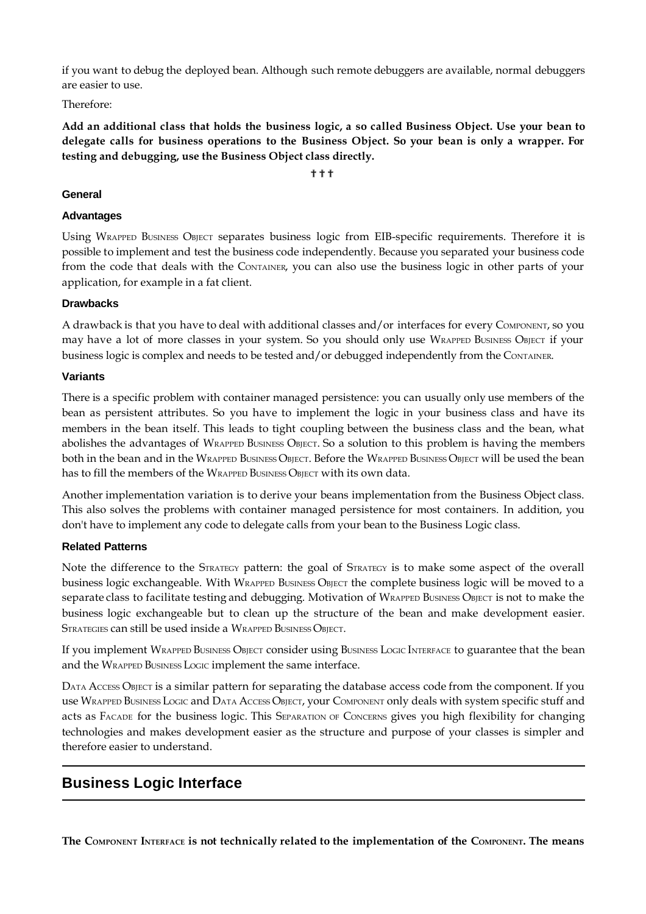if you want to debug the deployed bean. Although such remote debuggers are available, normal debuggers are easier to use.

Therefore:

Add an additional class that holds the business logic, a so called Business Object. Use your bean to **delegate calls for business operations to the Business Object. So your bean is only a wrapper. For testing and debugging, use the Business Object class directly.**

???

### **General**

### **Advantages**

Using WRAPPED BUSINESS OBJECT separates business logic from EIB-specific requirements. Therefore it is possible to implement and test the business code independently. Because you separated your business code from the code that deals with the CONTAINER, you can also use the business logic in other parts of your application, for example in a fat client.

## **Drawbacks**

A drawback is that you have to deal with additional classes and/or interfaces for every COMPONENT, so you may have a lot of more classes in your system. So you should only use WRAPPED BUSINESS OBJECT if your business logic is complex and needs to be tested and/or debugged independently from the CONTAINER.

## **Variants**

There is a specific problem with container managed persistence: you can usually only use members of the bean as persistent attributes. So you have to implement the logic in your business class and have its members in the bean itself. This leads to tight coupling between the business class and the bean, what abolishes the advantages of WRAPPED BUSINESS OBJECT. So a solution to this problem is having the members both in the bean and in the WRAPPED BUSINESS OBJECT. Before the WRAPPED BUSINESS OBJECT will be used the bean has to fill the members of the WRAPPED BUSINESS OBJECT with its own data.

Another implementation variation is to derive your beans implementation from the Business Object class. This also solves the problems with container managed persistence for most containers. In addition, you don't have to implement any code to delegate calls from your bean to the Business Logic class.

#### **Related Patterns**

Note the difference to the STRATEGY pattern: the goal of STRATEGY is to make some aspect of the overall business logic exchangeable. With WRAPPED BUSINESS OBJECT the complete business logic will be moved to a separate class to facilitate testing and debugging. Motivation of WRAPPED BUSINESS OBJECT is not to make the business logic exchangeable but to clean up the structure of the bean and make development easier. STRATEGIES can still be used inside a WRAPPED BUSINESS OBJECT.

If you implement WRAPPED BUSINESS OBJECT consider using BUSINESS LOGIC INTERFACE to guarantee that the bean and the WRAPPED BUSINESS LOGIC implement the same interface.

DATA ACCESS OBJECT is a similar pattern for separating the database access code from the component. If you use WRAPPED BUSINESS LOGIC and DATA ACCESS OBJECT, your COMPONENT only deals with system specific stuff and acts as FACADE for the business logic. This SEPARATION OF CONCERNS gives you high flexibility for changing technologies and makes development easier as the structure and purpose of your classes is simpler and therefore easier to understand.

# **Business Logic Interface**

The COMPONENT INTERFACE is not technically related to the implementation of the COMPONENT. The means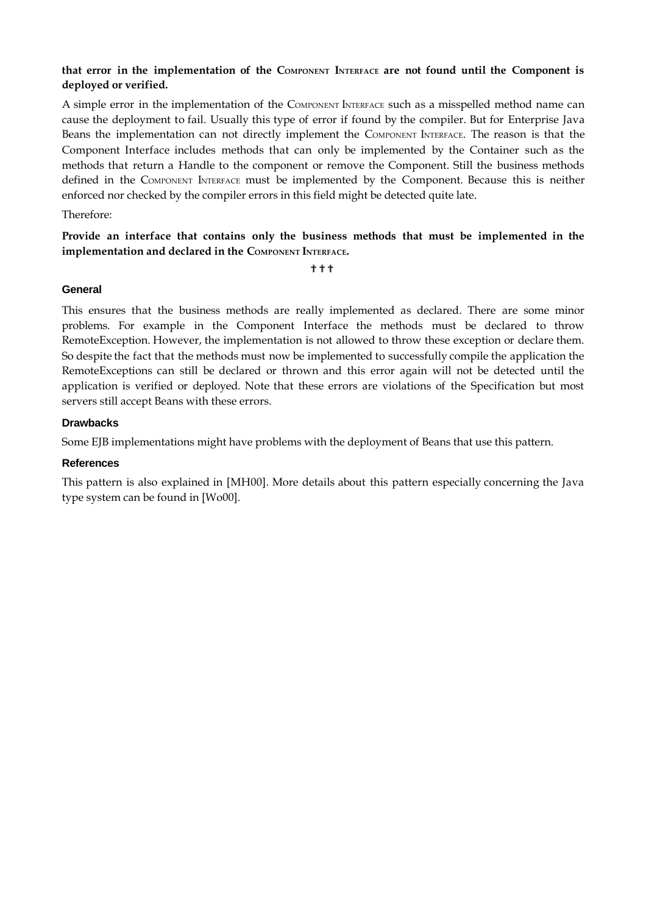## **that error in the implementation of the COMPONENT INTERFACE are not found until the Component is deployed or verified.**

A simple error in the implementation of the COMPONENT INTERFACE such as a misspelled method name can cause the deployment to fail. Usually this type of error if found by the compiler. But for Enterprise Java Beans the implementation can not directly implement the COMPONENT INTERFACE. The reason is that the Component Interface includes methods that can only be implemented by the Container such as the methods that return a Handle to the component or remove the Component. Still the business methods defined in the COMPONENT INTERFACE must be implemented by the Component. Because this is neither enforced nor checked by the compiler errors in this field might be detected quite late.

#### Therefore:

## **Provide an interface that contains only the business methods that must be implemented in the implementation and declared in the COMPONENT INTERFACE.**

???

#### **General**

This ensures that the business methods are really implemented as declared. There are some minor problems. For example in the Component Interface the methods must be declared to throw RemoteException. However, the implementation is not allowed to throw these exception or declare them. So despite the fact that the methods must now be implemented to successfully compile the application the RemoteExceptions can still be declared or thrown and this error again will not be detected until the application is verified or deployed. Note that these errors are violations of the Specification but most servers still accept Beans with these errors.

#### **Drawbacks**

Some EJB implementations might have problems with the deployment of Beans that use this pattern.

#### **References**

This pattern is also explained in [MH00]. More details about this pattern especially concerning the Java type system can be found in [Wo00].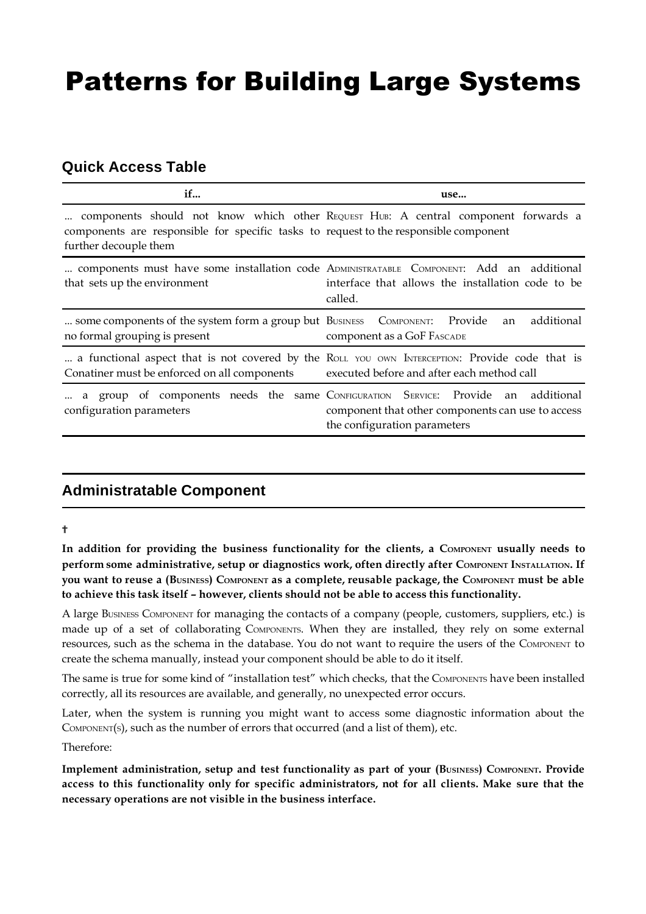# Patterns for Building Large Systems

# **Quick Access Table**

| if                                                                                                             | use                                                                                                                                                      |
|----------------------------------------------------------------------------------------------------------------|----------------------------------------------------------------------------------------------------------------------------------------------------------|
| components are responsible for specific tasks to request to the responsible component<br>further decouple them | components should not know which other REQUEST HUB: A central component forwards a                                                                       |
| that sets up the environment                                                                                   | components must have some installation code ADMINISTRATABLE COMPONENT: Add an additional<br>interface that allows the installation code to be<br>called. |
| some components of the system form a group but BUSINESS COMPONENT: Provide<br>no formal grouping is present    | additional<br>an<br>component as a GoF FASCADE                                                                                                           |
| Conatiner must be enforced on all components                                                                   | a functional aspect that is not covered by the ROLL YOU OWN INTERCEPTION: Provide code that is<br>executed before and after each method call             |
| a group of components needs the same CONFIGURATION SERVICE: Provide an<br>configuration parameters             | additional<br>component that other components can use to access<br>the configuration parameters                                                          |

# **Administratable Component**

#### ?

**In addition for providing the business functionality for the clients, a COMPONENT usually needs to perform some administrative, setup or diagnostics work, often directly after COMPONENT INSTALLATION. If** you want to reuse a (BUSINESS) COMPONENT as a complete, reusable package, the COMPONENT must be able **to achieve this task itself – however, clients should not be able to access this functionality.**

A large BUSINESS COMPONENT for managing the contacts of a company (people, customers, suppliers, etc.) is made up of a set of collaborating COMPONENTS. When they are installed, they rely on some external resources, such as the schema in the database. You do not want to require the users of the COMPONENT to create the schema manually, instead your component should be able to do it itself.

The same is true for some kind of "installation test" which checks, that the COMPONENTS have been installed correctly, all its resources are available, and generally, no unexpected error occurs.

Later, when the system is running you might want to access some diagnostic information about the COMPONENT(S), such as the number of errors that occurred (and a list of them), etc.

Therefore:

**Implement administration, setup and test functionality as part of your (BUSINESS) COMPONENT. Provide access to this functionality only for specific administrators, not for all clients. Make sure that the necessary operations are not visible in the business interface.**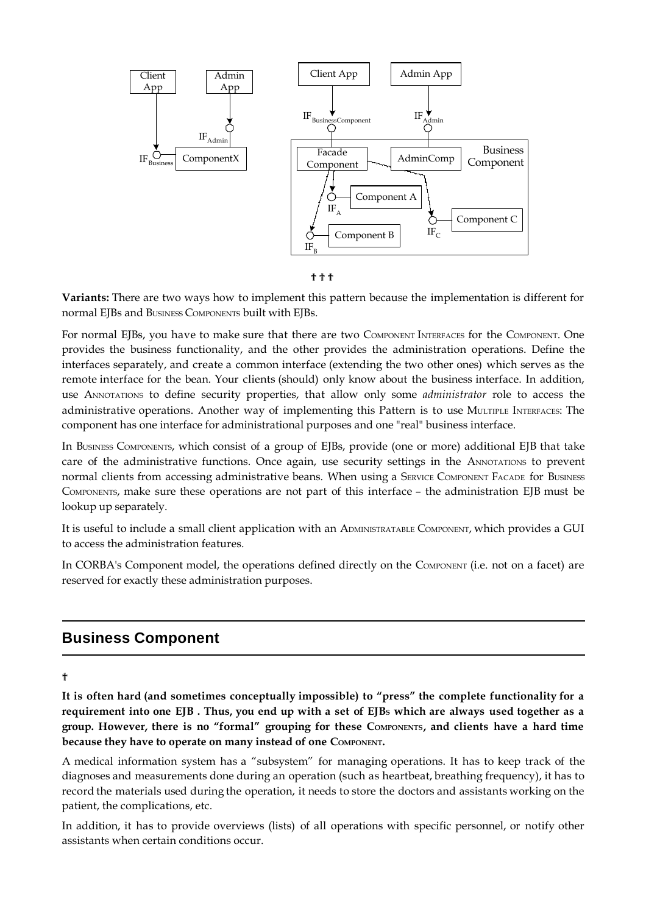

???

**Variants:** There are two ways how to implement this pattern because the implementation is different for normal EJBs and BUSINESS COMPONENTS built with EJBs.

For normal EJBs, you have to make sure that there are two COMPONENT INTERFACES for the COMPONENT. One provides the business functionality, and the other provides the administration operations. Define the interfaces separately, and create a common interface (extending the two other ones) which serves as the remote interface for the bean. Your clients (should) only know about the business interface. In addition, use ANNOTATIONS to define security properties, that allow only some *administrator* role to access the administrative operations. Another way of implementing this Pattern is to use MULTIPLE INTERFACES: The component has one interface for administrational purposes and one "real" business interface.

In BUSINESS COMPONENTS, which consist of a group of EJBs, provide (one or more) additional EJB that take care of the administrative functions. Once again, use security settings in the ANNOTATIONS to prevent normal clients from accessing administrative beans. When using a SERVICE COMPONENT FACADE for BUSINESS COMPONENTS, make sure these operations are not part of this interface – the administration EJB must be lookup up separately.

It is useful to include a small client application with an ADMINISTRATABLE COMPONENT, which provides a GUI to access the administration features.

In CORBA's Component model, the operations defined directly on the COMPONENT (i.e. not on a facet) are reserved for exactly these administration purposes.

# **Business Component**

?

**It is often hard (and sometimes conceptually impossible) to "press" the complete functionality for a** requirement into one EJB. Thus, you end up with a set of EJBs which are always used together as a **group. However, there is no "formal" grouping for these COMPONENTS, and clients have a hard time because they have to operate on many instead of one COMPONENT.**

A medical information system has a "subsystem" for managing operations. It has to keep track of the diagnoses and measurements done during an operation (such as heartbeat, breathing frequency), it has to record the materials used during the operation, it needs to store the doctors and assistants working on the patient, the complications, etc.

In addition, it has to provide overviews (lists) of all operations with specific personnel, or notify other assistants when certain conditions occur.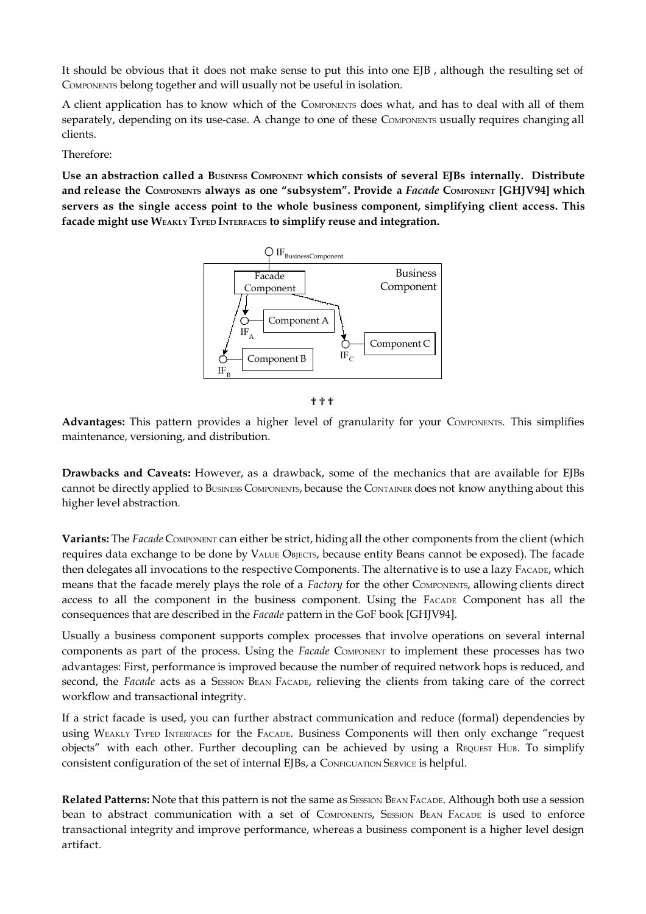It should be obvious that it does not make sense to put this into one EJB , although the resulting set of COMPONENTS belong together and will usually not be useful in isolation.

A client application has to know which of the COMPONENTS does what, and has to deal with all of them separately, depending on its use-case. A change to one of these COMPONENTS usually requires changing all clients.

Therefore:

**Use an abstraction called a BUSINESS COMPONENT which consists of several EJBs internally. Distribute and release the COMPONENTS always as one "subsystem". Provide a** *Facade* **COMPONENT [GHJV94] which servers as the single access point to the whole business component, simplifying client access. This facade might use WEAKLY TYPED INTERFACES to simplify reuse and integration.**





**Advantages:** This pattern provides a higher level of granularity for your COMPONENTS. This simplifies maintenance, versioning, and distribution.

**Drawbacks and Caveats:** However, as a drawback, some of the mechanics that are available for EJBs cannot be directly applied to BUSINESS COMPONENTS, because the CONTAINER does not know anything about this higher level abstraction.

**Variants:** The *Facade* COMPONENT can either be strict, hiding all the other components from the client (which requires data exchange to be done by VALUE OBJECTS, because entity Beans cannot be exposed). The facade then delegates all invocations to the respective Components. The alternative is to use a lazy FACADE, which means that the facade merely plays the role of a *Factory* for the other COMPONENTS, allowing clients direct access to all the component in the business component. Using the FACADE Component has all the consequences that are described in the *Facade* pattern in the GoF book [GHJV94].

Usually a business component supports complex processes that involve operations on several internal components as part of the process. Using the *Facade* COMPONENT to implement these processes has two advantages: First, performance is improved because the number of required network hops is reduced, and second, the *Facade* acts as a SESSION BEAN FACADE, relieving the clients from taking care of the correct workflow and transactional integrity.

If a strict facade is used, you can further abstract communication and reduce (formal) dependencies by using WEAKLY TYPED INTERFACES for the FACADE. Business Components will then only exchange "request objects" with each other. Further decoupling can be achieved by using a REQUEST HUB. To simplify consistent configuration of the set of internal EJBs, a CONFIGUATION SERVICE is helpful.

**Related Patterns:** Note that this pattern is not the same as SESSION BEAN FACADE. Although both use a session bean to abstract communication with a set of COMPONENTS, SESSION BEAN FACADE is used to enforce transactional integrity and improve performance, whereas a business component is a higher level design artifact.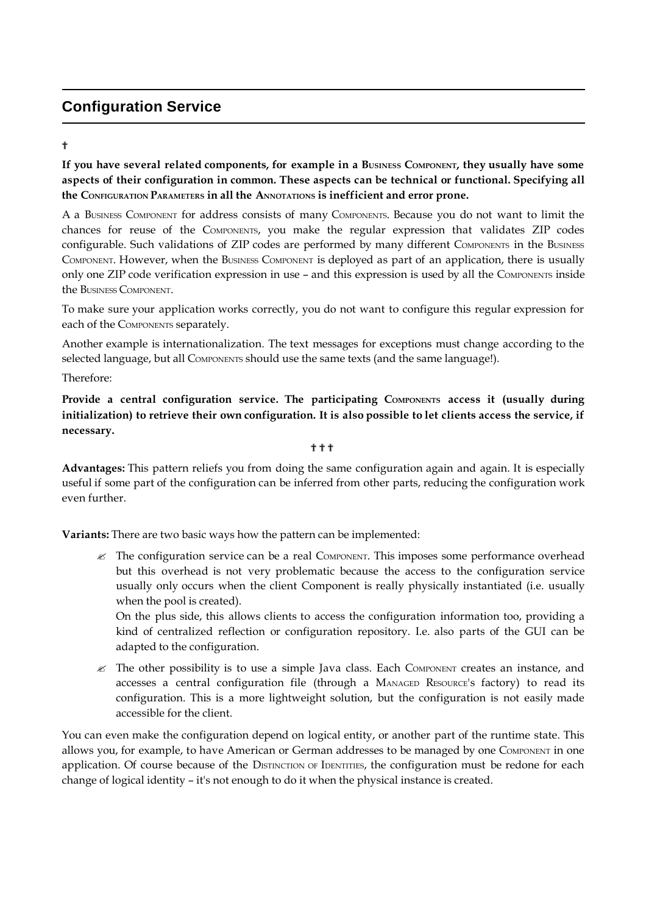# **Configuration Service**

## ?

If you have several related components, for example in a BUSINESS COMPONENT, they usually have some **aspects of their configuration in common. These aspects can be technical or functional. Specifying all the CONFIGURATION PARAMETERS in all the ANNOTATIONS is inefficient and error prone.**

A a BUSINESS COMPONENT for address consists of many COMPONENTS. Because you do not want to limit the chances for reuse of the COMPONENTS, you make the regular expression that validates ZIP codes configurable. Such validations of ZIP codes are performed by many different COMPONENTS in the BUSINESS COMPONENT. However, when the BUSINESS COMPONENT is deployed as part of an application, there is usually only one ZIP code verification expression in use – and this expression is used by all the COMPONENTS inside the BUSINESS COMPONENT.

To make sure your application works correctly, you do not want to configure this regular expression for each of the COMPONENTS separately.

Another example is internationalization. The text messages for exceptions must change according to the selected language, but all COMPONENTS should use the same texts (and the same language!).

Therefore:

**Provide a central configuration service. The participating COMPONENTS access it (usually during** initialization) to retrieve their own configuration. It is also possible to let clients access the service, if **necessary.**

#### ???

**Advantages:** This pattern reliefs you from doing the same configuration again and again. It is especially useful if some part of the configuration can be inferred from other parts, reducing the configuration work even further.

**Variants:** There are two basic ways how the pattern can be implemented:

 $\mathcal{L}$  The configuration service can be a real COMPONENT. This imposes some performance overhead but this overhead is not very problematic because the access to the configuration service usually only occurs when the client Component is really physically instantiated (i.e. usually when the pool is created).

On the plus side, this allows clients to access the configuration information too, providing a kind of centralized reflection or configuration repository. I.e. also parts of the GUI can be adapted to the configuration.

 $\mathscr Z$  The other possibility is to use a simple Java class. Each COMPONENT creates an instance, and accesses a central configuration file (through a MANAGED RESOURCE's factory) to read its configuration. This is a more lightweight solution, but the configuration is not easily made accessible for the client.

You can even make the configuration depend on logical entity, or another part of the runtime state. This allows you, for example, to have American or German addresses to be managed by one COMPONENT in one application. Of course because of the DISTINCTION OF IDENTITIES, the configuration must be redone for each change of logical identity – it's not enough to do it when the physical instance is created.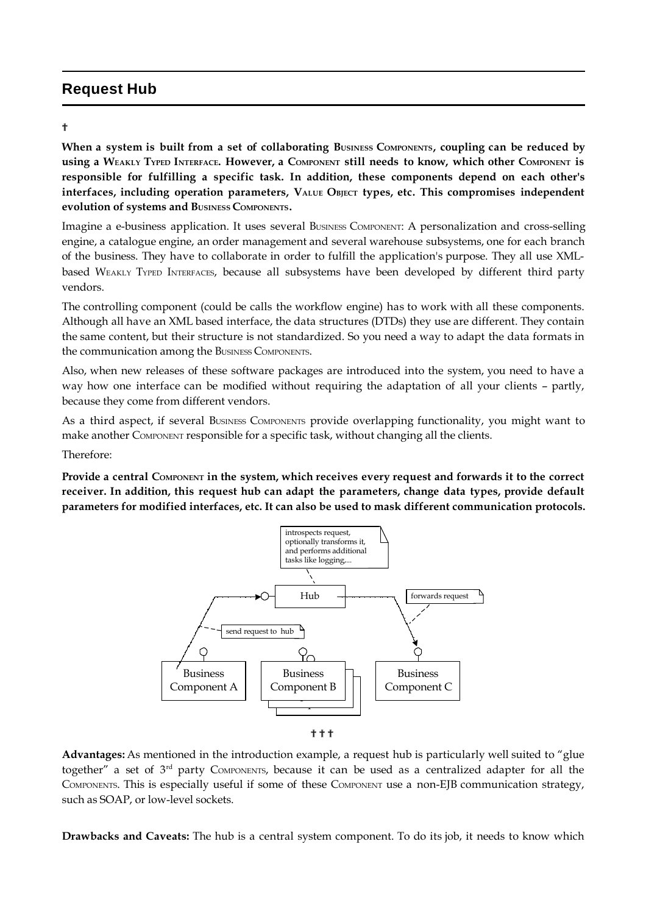# **Request Hub**

#### ?

When a system is built from a set of collaborating BUSINESS COMPONENTS, coupling can be reduced by USING a WEAKLY TYPED INTERFACE. HOWEVET, a COMPONENT still needs to know, which other COMPONENT is **responsible for fulfilling a specific task. In addition, these components depend on each other's interfaces, including operation parameters, VALUE OBJECT types, etc. This compromises independent evolution of systems and BUSINESS COMPONENTS.**

Imagine a e-business application. It uses several BUSINESS COMPONENT: A personalization and cross-selling engine, a catalogue engine, an order management and several warehouse subsystems, one for each branch of the business. They have to collaborate in order to fulfill the application's purpose. They all use XMLbased WEAKLY TYPED INTERFACES, because all subsystems have been developed by different third party vendors.

The controlling component (could be calls the workflow engine) has to work with all these components. Although all have an XML based interface, the data structures (DTDs) they use are different. They contain the same content, but their structure is not standardized. So you need a way to adapt the data formats in the communication among the BUSINESS COMPONENTS.

Also, when new releases of these software packages are introduced into the system, you need to have a way how one interface can be modified without requiring the adaptation of all your clients – partly, because they come from different vendors.

As a third aspect, if several BUSINESS COMPONENTS provide overlapping functionality, you might want to make another COMPONENT responsible for a specific task, without changing all the clients.

Therefore:

Provide a central COMPONENT in the system, which receives every request and forwards it to the correct **receiver. In addition, this request hub can adapt the parameters, change data types, provide default parameters for modified interfaces, etc. It can also be used to mask different communication protocols.**



**...**<br>?

**Advantages:** As mentioned in the introduction example, a request hub is particularly well suited to "glue together" a set of 3<sup>rd</sup> party COMPONENTS, because it can be used as a centralized adapter for all the COMPONENTS. This is especially useful if some of these COMPONENT use a non-EJB communication strategy, such as SOAP, or low-level sockets.

**Drawbacks and Caveats:** The hub is a central system component. To do its job, it needs to know which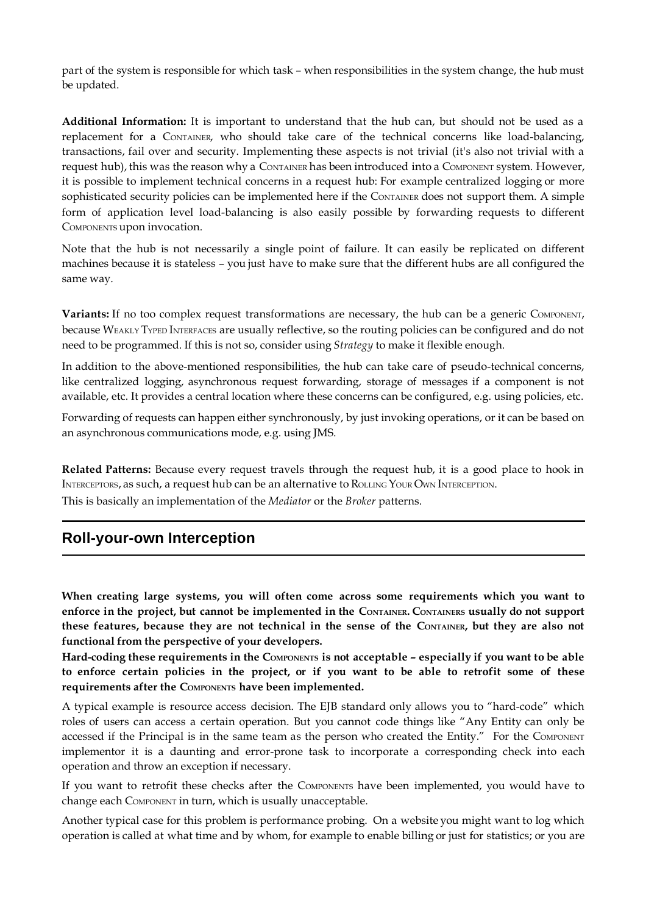part of the system is responsible for which task – when responsibilities in the system change, the hub must be updated.

**Additional Information:** It is important to understand that the hub can, but should not be used as a replacement for a CONTAINER, who should take care of the technical concerns like load-balancing, transactions, fail over and security. Implementing these aspects is not trivial (it's also not trivial with a request hub), this was the reason why a CONTAINER has been introduced into a COMPONENT system. However, it is possible to implement technical concerns in a request hub: For example centralized logging or more sophisticated security policies can be implemented here if the CONTAINER does not support them. A simple form of application level load-balancing is also easily possible by forwarding requests to different COMPONENTS upon invocation.

Note that the hub is not necessarily a single point of failure. It can easily be replicated on different machines because it is stateless – you just have to make sure that the different hubs are all configured the same way.

**Variants:** If no too complex request transformations are necessary, the hub can be a generic COMPONENT, because WEAKLY TYPED INTERFACES are usually reflective, so the routing policies can be configured and do not need to be programmed. If this is not so, consider using *Strategy* to make it flexible enough.

In addition to the above-mentioned responsibilities, the hub can take care of pseudo-technical concerns, like centralized logging, asynchronous request forwarding, storage of messages if a component is not available, etc. It provides a central location where these concerns can be configured, e.g. using policies, etc.

Forwarding of requests can happen either synchronously, by just invoking operations, or it can be based on an asynchronous communications mode, e.g. using JMS.

**Related Patterns:** Because every request travels through the request hub, it is a good place to hook in INTERCEPTORS, as such, a request hub can be an alternative to ROLLING YOUR OWN INTERCEPTION. This is basically an implementation of the *Mediator* or the *Broker* patterns.

# **Roll-your-own Interception**

**When creating large systems, you will often come across some requirements which you want to** enforce in the project, but cannot be implemented in the CONTAINER. CONTAINERS usually do not support these features, because they are not technical in the sense of the CONTAINER, but they are also not **functional from the perspective of your developers.** 

Hard-coding these requirements in the COMPONENTS is not acceptable – especially if you want to be able to enforce certain policies in the project, or if you want to be able to retrofit some of these **requirements after the COMPONENTS have been implemented.**

A typical example is resource access decision. The EJB standard only allows you to "hard-code" which roles of users can access a certain operation. But you cannot code things like "Any Entity can only be accessed if the Principal is in the same team as the person who created the Entity." For the COMPONENT implementor it is a daunting and error-prone task to incorporate a corresponding check into each operation and throw an exception if necessary.

If you want to retrofit these checks after the COMPONENTS have been implemented, you would have to change each COMPONENT in turn, which is usually unacceptable.

Another typical case for this problem is performance probing. On a website you might want to log which operation is called at what time and by whom, for example to enable billing or just for statistics; or you are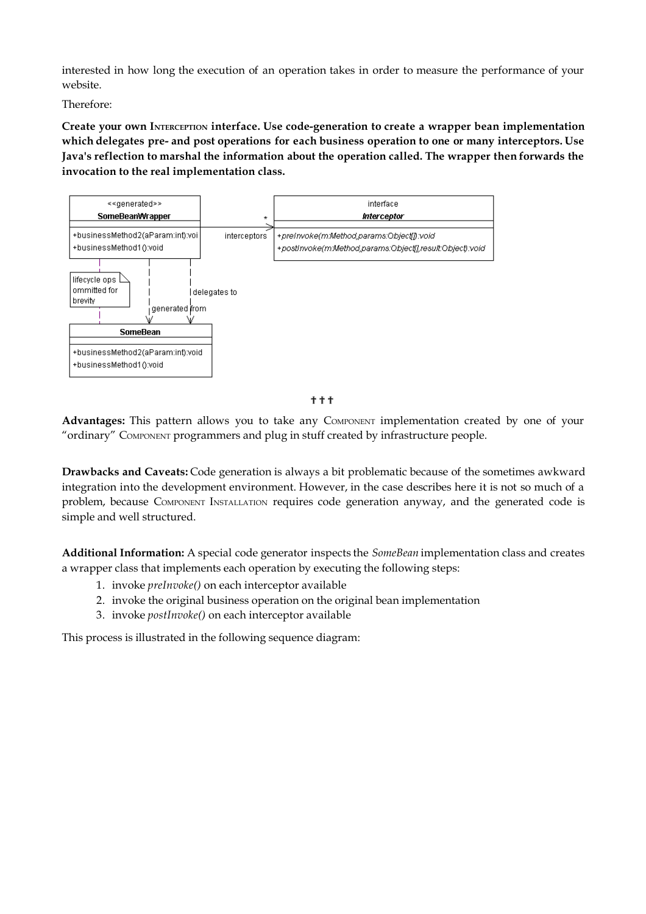interested in how long the execution of an operation takes in order to measure the performance of your website.

Therefore:

**Create your own INTERCEPTION interface. Use code-generation to create a wrapper bean implementation which delegates pre- and post operations for each business operation to one or many interceptors. Use Java's reflection to marshal the information about the operation called. The wrapper then forwards the invocation to the real implementation class.**



???

**Advantages:** This pattern allows you to take any COMPONENT implementation created by one of your "ordinary" COMPONENT programmers and plug in stuff created by infrastructure people.

**Drawbacks and Caveats:** Code generation is always a bit problematic because of the sometimes awkward integration into the development environment. However, in the case describes here it is not so much of a problem, because COMPONENT INSTALLATION requires code generation anyway, and the generated code is simple and well structured.

**Additional Information:** A special code generator inspects the *SomeBean* implementation class and creates a wrapper class that implements each operation by executing the following steps:

- 1. invoke *preInvoke()* on each interceptor available
- 2. invoke the original business operation on the original bean implementation
- 3. invoke *postInvoke()* on each interceptor available

This process is illustrated in the following sequence diagram: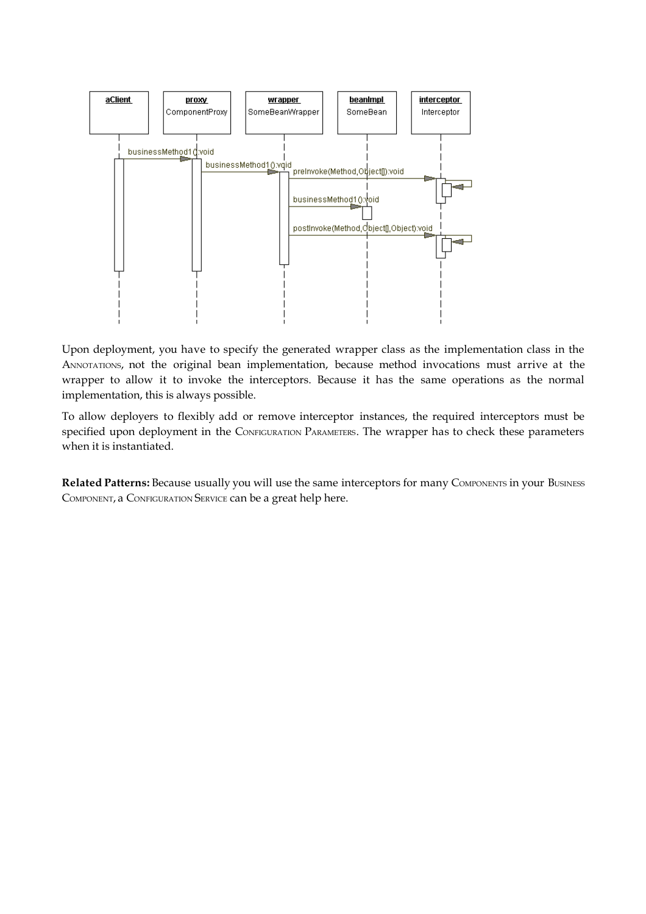

Upon deployment, you have to specify the generated wrapper class as the implementation class in the ANNOTATIONS, not the original bean implementation, because method invocations must arrive at the wrapper to allow it to invoke the interceptors. Because it has the same operations as the normal implementation, this is always possible.

To allow deployers to flexibly add or remove interceptor instances, the required interceptors must be specified upon deployment in the CONFIGURATION PARAMETERS. The wrapper has to check these parameters when it is instantiated.

**Related Patterns:** Because usually you will use the same interceptors for many COMPONENTS in your BUSINESS COMPONENT, a CONFIGURATION SERVICE can be a great help here.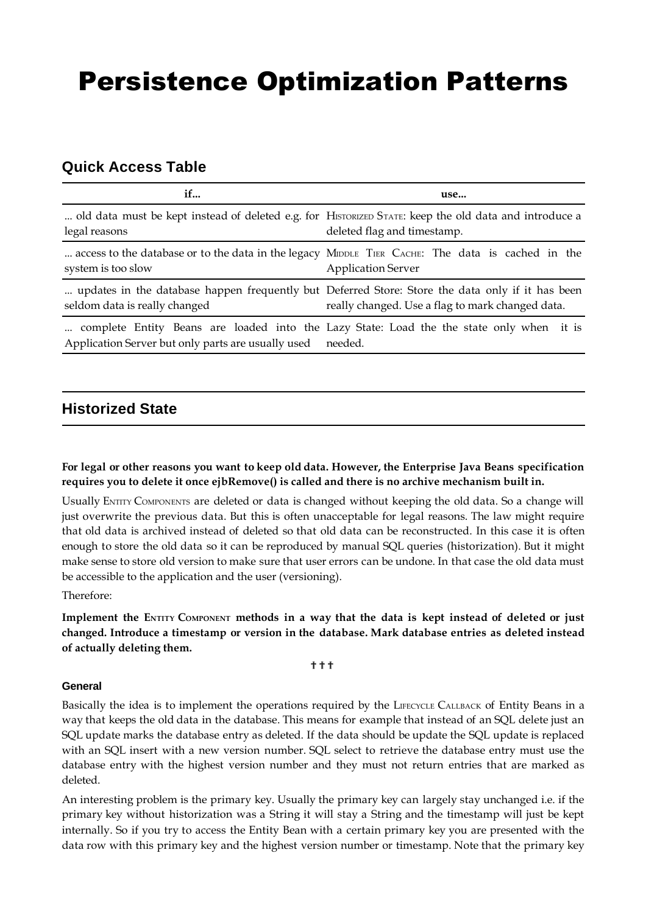# Persistence Optimization Patterns

# **Quick Access Table**

| if                                                         | use                                                                                                                                                  |
|------------------------------------------------------------|------------------------------------------------------------------------------------------------------------------------------------------------------|
| legal reasons                                              | old data must be kept instead of deleted e.g. for HISTORIZED STATE: keep the old data and introduce a<br>deleted flag and timestamp.                 |
| system is too slow                                         | access to the database or to the data in the legacy MIDDLE TIER CACHE: The data is cached in the<br><b>Application Server</b>                        |
| seldom data is really changed                              | updates in the database happen frequently but Deferred Store: Store the data only if it has been<br>really changed. Use a flag to mark changed data. |
| Application Server but only parts are usually used needed. | complete Entity Beans are loaded into the Lazy State: Load the the state only when it is                                                             |

# **Historized State**

## **For legal or other reasons you want to keep old data. However, the Enterprise Java Beans specification requires you to delete it once ejbRemove() is called and there is no archive mechanism built in.**

Usually ENTITY COMPONENTS are deleted or data is changed without keeping the old data. So a change will just overwrite the previous data. But this is often unacceptable for legal reasons. The law might require that old data is archived instead of deleted so that old data can be reconstructed. In this case it is often enough to store the old data so it can be reproduced by manual SQL queries (historization). But it might make sense to store old version to make sure that user errors can be undone. In that case the old data must be accessible to the application and the user (versioning).

Therefore:

Implement the ENTITY COMPONENT methods in a way that the data is kept instead of deleted or just **changed. Introduce a timestamp or version in the database. Mark database entries as deleted instead of actually deleting them.**

???

#### **General**

Basically the idea is to implement the operations required by the LIFECYCLE CALLBACK of Entity Beans in a way that keeps the old data in the database. This means for example that instead of an SQL delete just an SQL update marks the database entry as deleted. If the data should be update the SQL update is replaced with an SQL insert with a new version number. SQL select to retrieve the database entry must use the database entry with the highest version number and they must not return entries that are marked as deleted.

An interesting problem is the primary key. Usually the primary key can largely stay unchanged i.e. if the primary key without historization was a String it will stay a String and the timestamp will just be kept internally. So if you try to access the Entity Bean with a certain primary key you are presented with the data row with this primary key and the highest version number or timestamp. Note that the primary key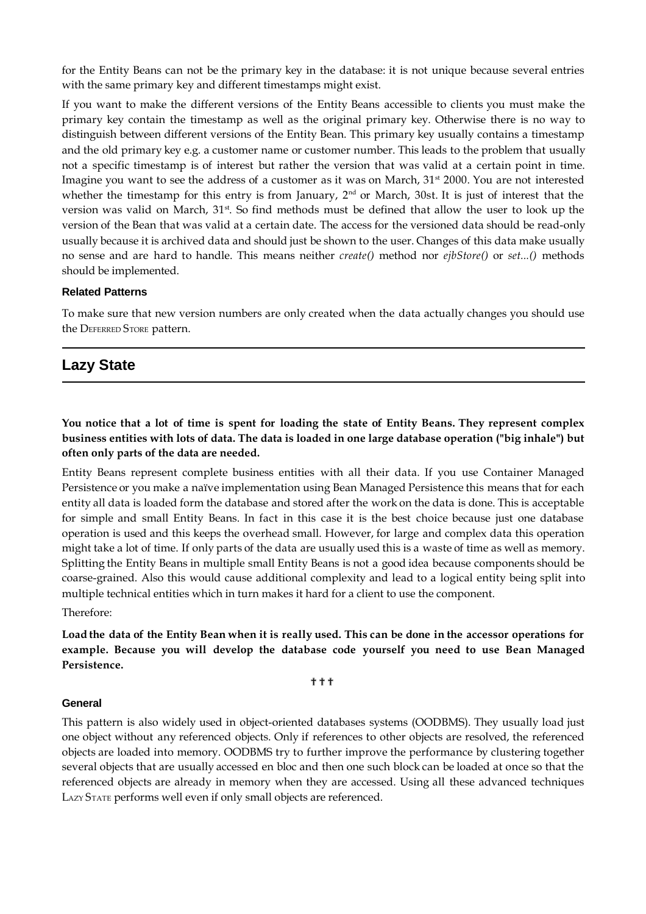for the Entity Beans can not be the primary key in the database: it is not unique because several entries with the same primary key and different timestamps might exist.

If you want to make the different versions of the Entity Beans accessible to clients you must make the primary key contain the timestamp as well as the original primary key. Otherwise there is no way to distinguish between different versions of the Entity Bean. This primary key usually contains a timestamp and the old primary key e.g. a customer name or customer number. This leads to the problem that usually not a specific timestamp is of interest but rather the version that was valid at a certain point in time. Imagine you want to see the address of a customer as it was on March,  $31<sup>st</sup>$  2000. You are not interested whether the timestamp for this entry is from January,  $2<sup>nd</sup>$  or March, 30st. It is just of interest that the version was valid on March, 31<sup>st</sup>. So find methods must be defined that allow the user to look up the version of the Bean that was valid at a certain date. The access for the versioned data should be read-only usually because it is archived data and should just be shown to the user. Changes of this data make usually no sense and are hard to handle. This means neither *create()* method nor *ejbStore()* or *set...()* methods should be implemented.

#### **Related Patterns**

To make sure that new version numbers are only created when the data actually changes you should use the DEFERRED STORE pattern.

## **Lazy State**

You notice that a lot of time is spent for loading the state of Entity Beans. They represent complex **business entities with lots of data. The data is loaded in one large database operation ("big inhale") but often only parts of the data are needed.**

Entity Beans represent complete business entities with all their data. If you use Container Managed Persistence or you make a naïve implementation using Bean Managed Persistence this means that for each entity all data is loaded form the database and stored after the work on the data is done. This is acceptable for simple and small Entity Beans. In fact in this case it is the best choice because just one database operation is used and this keeps the overhead small. However, for large and complex data this operation might take a lot of time. If only parts of the data are usually used this is a waste of time as well as memory. Splitting the Entity Beans in multiple small Entity Beans is not a good idea because components should be coarse-grained. Also this would cause additional complexity and lead to a logical entity being split into multiple technical entities which in turn makes it hard for a client to use the component.

Therefore:

Load the data of the Entity Bean when it is really used. This can be done in the accessor operations for **example. Because you will develop the database code yourself you need to use Bean Managed Persistence.**

#### ???

#### **General**

This pattern is also widely used in object-oriented databases systems (OODBMS). They usually load just one object without any referenced objects. Only if references to other objects are resolved, the referenced objects are loaded into memory. OODBMS try to further improve the performance by clustering together several objects that are usually accessed en bloc and then one such block can be loaded at once so that the referenced objects are already in memory when they are accessed. Using all these advanced techniques LAZY STATE performs well even if only small objects are referenced.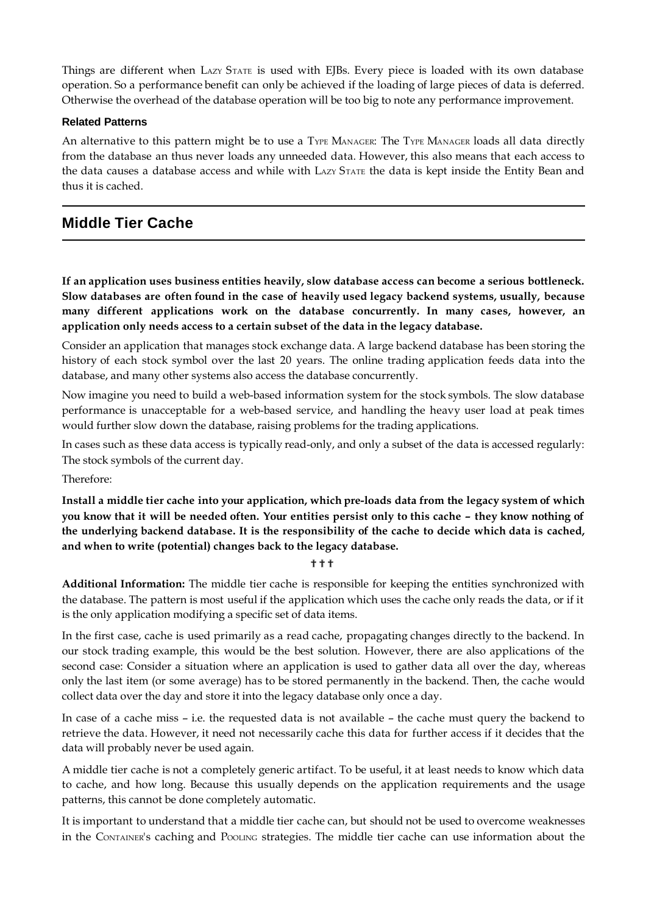Things are different when LAZY STATE is used with EJBs. Every piece is loaded with its own database operation. So a performance benefit can only be achieved if the loading of large pieces of data is deferred. Otherwise the overhead of the database operation will be too big to note any performance improvement.

#### **Related Patterns**

An alternative to this pattern might be to use a TYPE MANAGER: The TYPE MANAGER loads all data directly from the database an thus never loads any unneeded data. However, this also means that each access to the data causes a database access and while with LAZY STATE the data is kept inside the Entity Bean and thus it is cached.

## **Middle Tier Cache**

**If an application uses business entities heavily, slow database access can become a serious bottleneck. Slow databases are often found in the case of heavily used legacy backend systems, usually, because many different applications work on the database concurrently. In many cases, however, an application only needs access to a certain subset of the data in the legacy database.**

Consider an application that manages stock exchange data. A large backend database has been storing the history of each stock symbol over the last 20 years. The online trading application feeds data into the database, and many other systems also access the database concurrently.

Now imagine you need to build a web-based information system for the stock symbols. The slow database performance is unacceptable for a web-based service, and handling the heavy user load at peak times would further slow down the database, raising problems for the trading applications.

In cases such as these data access is typically read-only, and only a subset of the data is accessed regularly: The stock symbols of the current day.

Therefore:

**Install a middle tier cache into your application, which pre-loads data from the legacy system of which** you know that it will be needed often. Your entities persist only to this cache - they know nothing of **the underlying backend database. It is the responsibility of the cache to decide which data is cached, and when to write (potential) changes back to the legacy database.**

#### **\*\***

**Additional Information:** The middle tier cache is responsible for keeping the entities synchronized with the database. The pattern is most useful if the application which uses the cache only reads the data, or if it is the only application modifying a specific set of data items.

In the first case, cache is used primarily as a read cache, propagating changes directly to the backend. In our stock trading example, this would be the best solution. However, there are also applications of the second case: Consider a situation where an application is used to gather data all over the day, whereas only the last item (or some average) has to be stored permanently in the backend. Then, the cache would collect data over the day and store it into the legacy database only once a day.

In case of a cache miss – i.e. the requested data is not available – the cache must query the backend to retrieve the data. However, it need not necessarily cache this data for further access if it decides that the data will probably never be used again.

A middle tier cache is not a completely generic artifact. To be useful, it at least needs to know which data to cache, and how long. Because this usually depends on the application requirements and the usage patterns, this cannot be done completely automatic.

It is important to understand that a middle tier cache can, but should not be used to overcome weaknesses in the CONTAINER's caching and POOLING strategies. The middle tier cache can use information about the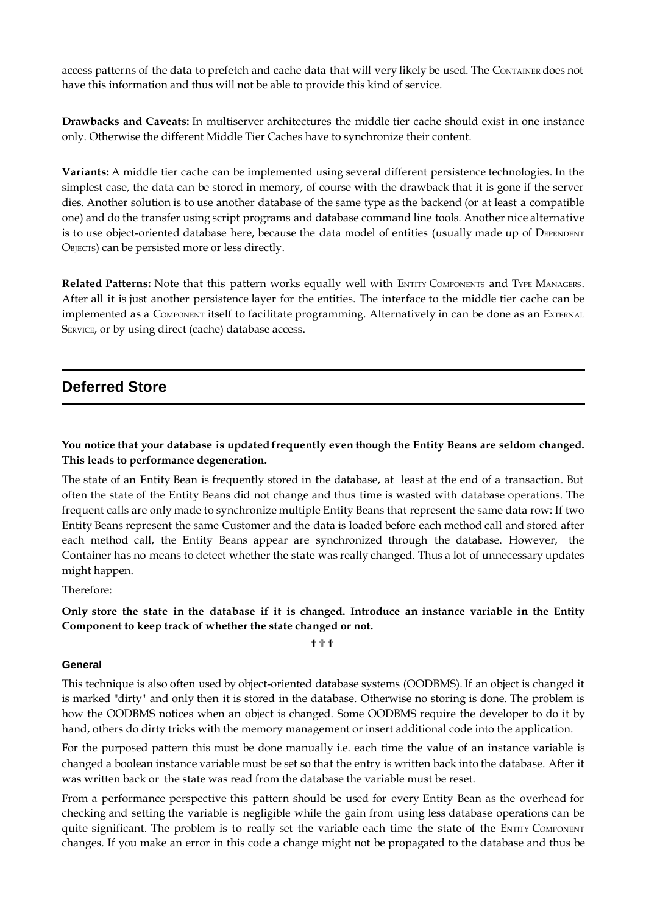access patterns of the data to prefetch and cache data that will very likely be used. The CONTAINER does not have this information and thus will not be able to provide this kind of service.

**Drawbacks and Caveats:** In multiserver architectures the middle tier cache should exist in one instance only. Otherwise the different Middle Tier Caches have to synchronize their content.

**Variants:** A middle tier cache can be implemented using several different persistence technologies. In the simplest case, the data can be stored in memory, of course with the drawback that it is gone if the server dies. Another solution is to use another database of the same type as the backend (or at least a compatible one) and do the transfer using script programs and database command line tools. Another nice alternative is to use object-oriented database here, because the data model of entities (usually made up of DEPENDENT OBJECTS) can be persisted more or less directly.

**Related Patterns:** Note that this pattern works equally well with ENTITY COMPONENTS and TYPE MANAGERS. After all it is just another persistence layer for the entities. The interface to the middle tier cache can be implemented as a COMPONENT itself to facilitate programming. Alternatively in can be done as an EXTERNAL SERVICE, or by using direct (cache) database access.

## **Deferred Store**

## **You notice that your database is updated frequently even though the Entity Beans are seldom changed. This leads to performance degeneration.**

The state of an Entity Bean is frequently stored in the database, at least at the end of a transaction. But often the state of the Entity Beans did not change and thus time is wasted with database operations. The frequent calls are only made to synchronize multiple Entity Beans that represent the same data row: If two Entity Beans represent the same Customer and the data is loaded before each method call and stored after each method call, the Entity Beans appear are synchronized through the database. However, the Container has no means to detect whether the state was really changed. Thus a lot of unnecessary updates might happen.

Therefore:

### Only store the state in the database if it is changed. Introduce an instance variable in the Entity **Component to keep track of whether the state changed or not.**

# ???

#### **General**

This technique is also often used by object-oriented database systems (OODBMS). If an object is changed it is marked "dirty" and only then it is stored in the database. Otherwise no storing is done. The problem is how the OODBMS notices when an object is changed. Some OODBMS require the developer to do it by hand, others do dirty tricks with the memory management or insert additional code into the application.

For the purposed pattern this must be done manually i.e. each time the value of an instance variable is changed a boolean instance variable must be set so that the entry is written back into the database. After it was written back or the state was read from the database the variable must be reset.

From a performance perspective this pattern should be used for every Entity Bean as the overhead for checking and setting the variable is negligible while the gain from using less database operations can be quite significant. The problem is to really set the variable each time the state of the ENTITY COMPONENT changes. If you make an error in this code a change might not be propagated to the database and thus be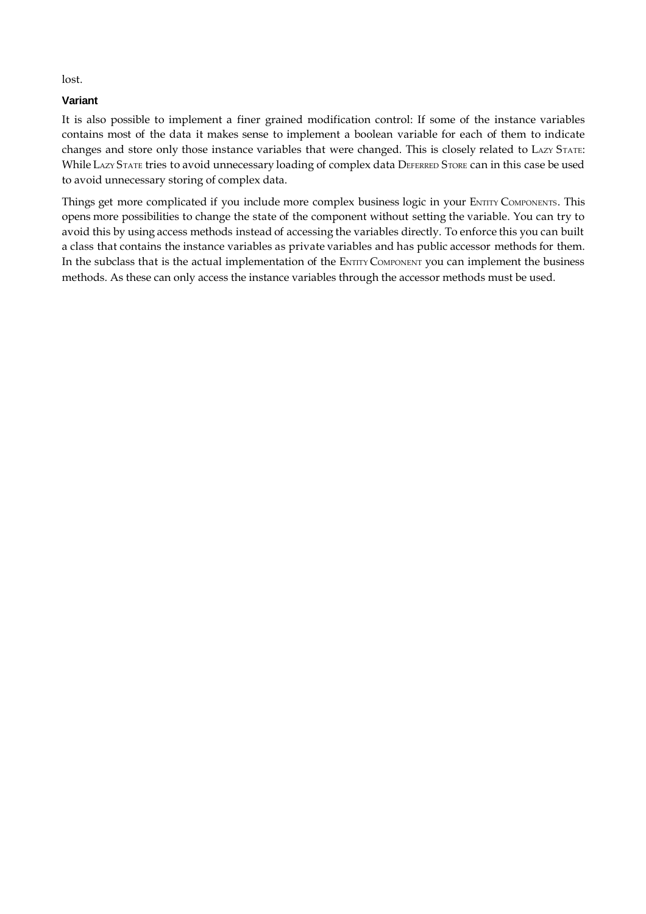lost.

## **Variant**

It is also possible to implement a finer grained modification control: If some of the instance variables contains most of the data it makes sense to implement a boolean variable for each of them to indicate changes and store only those instance variables that were changed. This is closely related to LAZY STATE: While LAZY STATE tries to avoid unnecessary loading of complex data DEFERRED STORE can in this case be used to avoid unnecessary storing of complex data.

Things get more complicated if you include more complex business logic in your ENTITY COMPONENTS. This opens more possibilities to change the state of the component without setting the variable. You can try to avoid this by using access methods instead of accessing the variables directly. To enforce this you can built a class that contains the instance variables as private variables and has public accessor methods for them. In the subclass that is the actual implementation of the ENTITY COMPONENT you can implement the business methods. As these can only access the instance variables through the accessor methods must be used.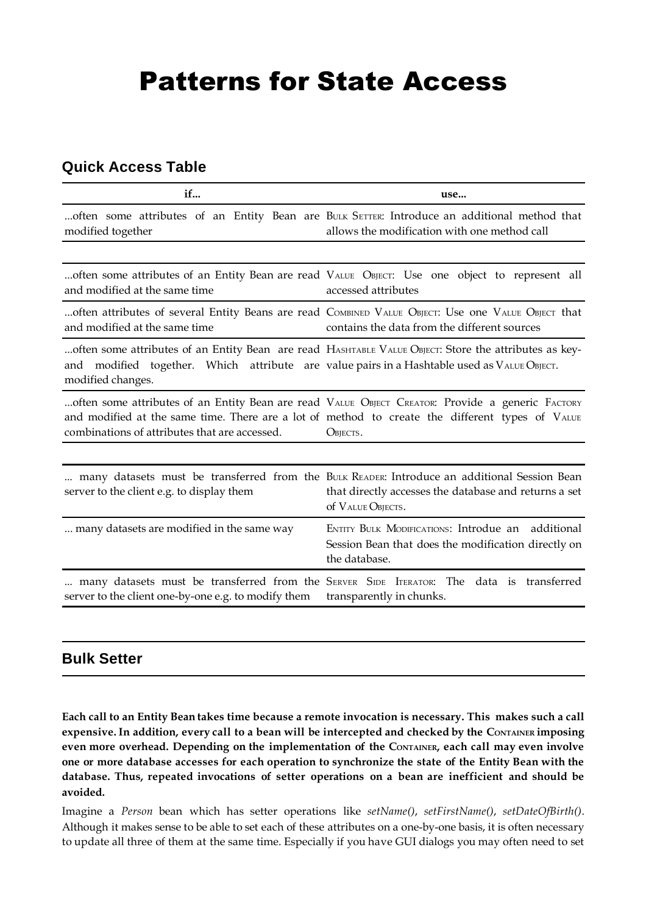# Patterns for State Access

# **Quick Access Table**

| if                                                  | use                                                                                                                                                                                                             |
|-----------------------------------------------------|-----------------------------------------------------------------------------------------------------------------------------------------------------------------------------------------------------------------|
| modified together                                   | often some attributes of an Entity Bean are BULK SETTER: Introduce an additional method that<br>allows the modification with one method call                                                                    |
|                                                     |                                                                                                                                                                                                                 |
| and modified at the same time                       | often some attributes of an Entity Bean are read VALUE OBJECT: Use one object to represent all<br>accessed attributes                                                                                           |
| and modified at the same time                       | often attributes of several Entity Beans are read COMBINED VALUE OBJECT: Use one VALUE OBJECT that<br>contains the data from the different sources                                                              |
| and<br>modified changes.                            | often some attributes of an Entity Bean are read HASHTABLE VALUE OBJECT: Store the attributes as key-<br>modified together. Which attribute are value pairs in a Hashtable used as VALUE OBJECT.                |
| combinations of attributes that are accessed.       | often some attributes of an Entity Bean are read VALUE OBJECT CREATOR: Provide a generic FACTORY<br>and modified at the same time. There are a lot of method to create the different types of VALUE<br>OBJECTS. |
|                                                     |                                                                                                                                                                                                                 |
| server to the client e.g. to display them           | many datasets must be transferred from the BULK READER: Introduce an additional Session Bean<br>that directly accesses the database and returns a set<br>of VALUE OBJECTS.                                      |
| many datasets are modified in the same way          | ENTITY BULK MODIFICATIONS: Introdue an additional<br>Session Bean that does the modification directly on<br>the database.                                                                                       |
| server to the client one-by-one e.g. to modify them | many datasets must be transferred from the SERVER SIDE ITERATOR: The data is transferred<br>transparently in chunks.                                                                                            |

# **Bulk Setter**

**Each call to an Entity Bean takes time because a remote invocation is necessary. This makes such a call expensive.In addition, every call to a bean will be intercepted and checked by the CONTAINER imposing even more overhead. Depending on the implementation of the CONTAINER, each call may even involve** one or more database accesses for each operation to synchronize the state of the Entity Bean with the **database. Thus, repeated invocations of setter operations on a bean are inefficient and should be avoided.**

Imagine a *Person* bean which has setter operations like *setName()*, *setFirstName()*, *setDateOfBirth()*. Although it makes sense to be able to set each of these attributes on a one-by-one basis, it is often necessary to update all three of them at the same time. Especially if you have GUI dialogs you may often need to set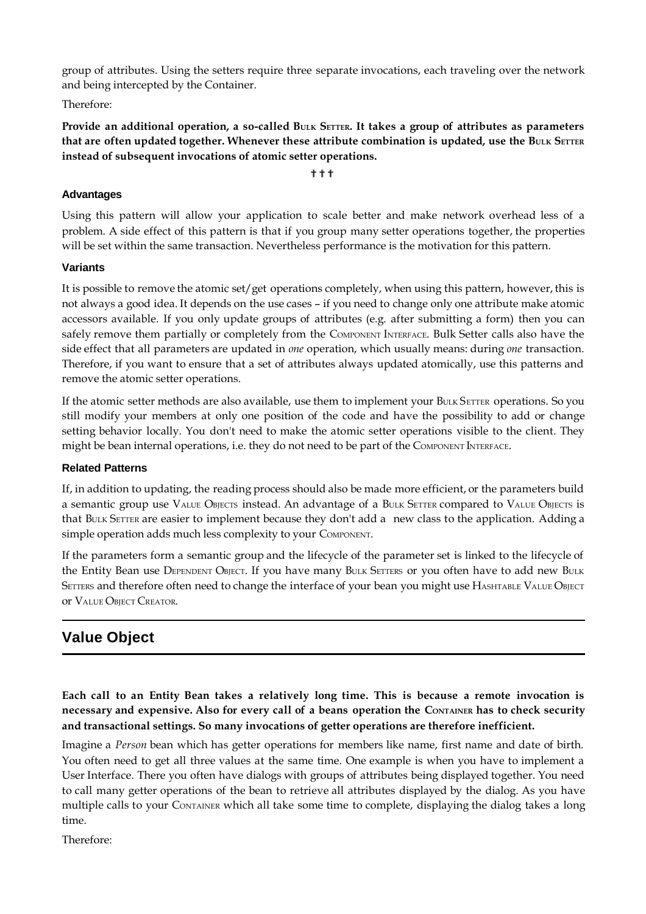group of attributes. Using the setters require three separate invocations, each traveling over the network and being intercepted by the Container.

Therefore:

Provide an additional operation, a so-called BULK SETTER. It takes a group of attributes as parameters **that are often updated together. Whenever these attribute combination is updated, use the BULK SETTER instead of subsequent invocations of atomic setter operations.**

???

## **Advantages**

Using this pattern will allow your application to scale better and make network overhead less of a problem. A side effect of this pattern is that if you group many setter operations together, the properties will be set within the same transaction. Nevertheless performance is the motivation for this pattern.

## **Variants**

It is possible to remove the atomic set/get operations completely, when using this pattern, however, this is not always a good idea. It depends on the use cases – if you need to change only one attribute make atomic accessors available. If you only update groups of attributes (e.g. after submitting a form) then you can safely remove them partially or completely from the COMPONENT INTERFACE. Bulk Setter calls also have the side effect that all parameters are updated in *one* operation, which usually means: during *one* transaction. Therefore, if you want to ensure that a set of attributes always updated atomically, use this patterns and remove the atomic setter operations.

If the atomic setter methods are also available, use them to implement your BULK SETTER operations. So you still modify your members at only one position of the code and have the possibility to add or change setting behavior locally. You don't need to make the atomic setter operations visible to the client. They might be bean internal operations, i.e. they do not need to be part of the COMPONENT INTERFACE.

#### **Related Patterns**

If, in addition to updating, the reading process should also be made more efficient, or the parameters build a semantic group use VALUE OBJECTS instead. An advantage of a BULK SETTER compared to VALUE OBJECTS is that BULK SETTER are easier to implement because they don't add a new class to the application. Adding a simple operation adds much less complexity to your COMPONENT.

If the parameters form a semantic group and the lifecycle of the parameter set is linked to the lifecycle of the Entity Bean use DEPENDENT OBJECT. If you have many BULK SETTERS or you often have to add new BULK SETTERS and therefore often need to change the interface of your bean you might use HASHTABLE VALUE OBJECT OF VALUE OBJECT CREATOR.

# **Value Object**

Each call to an Entity Bean takes a relatively long time. This is because a remote invocation is necessary and expensive. Also for every call of a beans operation the CONTAINER has to check security **and transactional settings. So many invocations of getter operations are therefore inefficient.**

Imagine a *Person* bean which has getter operations for members like name, first name and date of birth. You often need to get all three values at the same time. One example is when you have to implement a User Interface. There you often have dialogs with groups of attributes being displayed together. You need to call many getter operations of the bean to retrieve all attributes displayed by the dialog. As you have multiple calls to your CONTAINER which all take some time to complete, displaying the dialog takes a long time.

Therefore: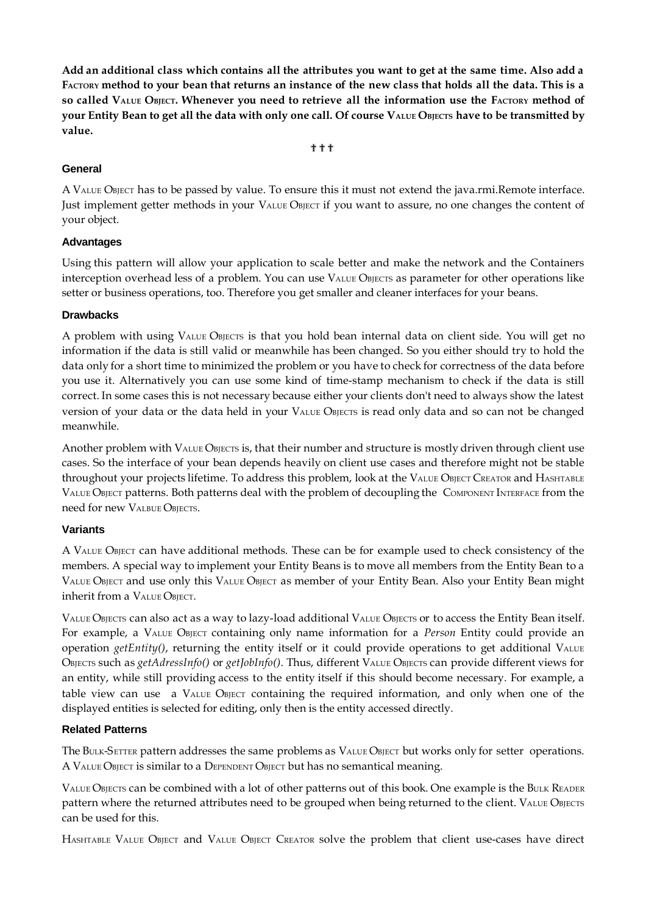Add an additional class which contains all the attributes you want to get at the same time. Also add a FACTORY method to your bean that returns an instance of the new class that holds all the data. This is a so called VALUE OBJECT. Whenever you need to retrieve all the information use the FACTORY method of **your Entity Bean to get all the data with only one call. Of course VALUE OBJECTS have to be transmitted by value.**

## ???

#### **General**

A VALUE OBJECT has to be passed by value. To ensure this it must not extend the java.rmi.Remote interface. Just implement getter methods in your VALUE OBJECT if you want to assure, no one changes the content of your object.

#### **Advantages**

Using this pattern will allow your application to scale better and make the network and the Containers interception overhead less of a problem. You can use VALUE OBJECTS as parameter for other operations like setter or business operations, too. Therefore you get smaller and cleaner interfaces for your beans.

#### **Drawbacks**

A problem with using VALUE OBJECTS is that you hold bean internal data on client side. You will get no information if the data is still valid or meanwhile has been changed. So you either should try to hold the data only for a short time to minimized the problem or you have to check for correctness of the data before you use it. Alternatively you can use some kind of time-stamp mechanism to check if the data is still correct. In some cases this is not necessary because either your clients don't need to always show the latest version of your data or the data held in your VALUE OBJECTS is read only data and so can not be changed meanwhile.

Another problem with VALUE OBJECTS is, that their number and structure is mostly driven through client use cases. So the interface of your bean depends heavily on client use cases and therefore might not be stable throughout your projects lifetime. To address this problem, look at the VALUE OBJECT CREATOR and HASHTABLE VALUE OBJECT patterns. Both patterns deal with the problem of decoupling the COMPONENT INTERFACE from the need for new VALBUE OBIECTS.

#### **Variants**

A VALUE OBJECT can have additional methods. These can be for example used to check consistency of the members. A special way to implement your Entity Beans is to move all members from the Entity Bean to a VALUE OBJECT and use only this VALUE OBJECT as member of your Entity Bean. Also your Entity Bean might inherit from a VALUE OBJECT.

VALUE OBJECTS can also act as a way to lazy-load additional VALUE OBJECTS or to access the Entity Bean itself. For example, a VALUE OBJECT containing only name information for a *Person* Entity could provide an operation *getEntity()*, returning the entity itself or it could provide operations to get additional VALUE OBJECTS such as *getAdressInfo()* or *getJobInfo()*. Thus, different VALUE OBJECTS can provide different views for an entity, while still providing access to the entity itself if this should become necessary. For example, a table view can use a VALUE OBJECT containing the required information, and only when one of the displayed entities is selected for editing, only then is the entity accessed directly.

#### **Related Patterns**

The BULK-SETTER pattern addresses the same problems as VALUE OBJECT but works only for setter operations. A VALUE OBJECT is similar to a DEPENDENT OBJECT but has no semantical meaning.

VALUE OBJECTS can be combined with a lot of other patterns out of this book. One example is the BULK READER pattern where the returned attributes need to be grouped when being returned to the client. VALUE OBJECTS can be used for this.

HASHTABLE VALUE OBJECT and VALUE OBJECT CREATOR solve the problem that client use-cases have direct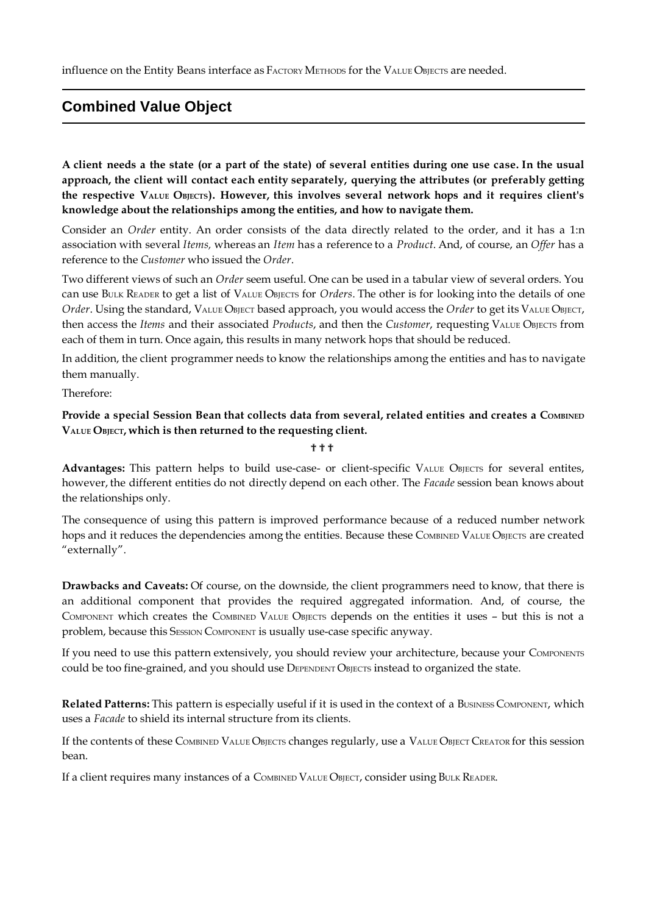influence on the Entity Beans interface as FACTORY METHODS for the VALUE OBJECTS are needed.

# **Combined Value Object**

A client needs a the state (or a part of the state) of several entities during one use case. In the usual **approach, the client will contact each entity separately, querying the attributes (or preferably getting the respective VALUE OBJECTS). However, this involves several network hops and it requires client's knowledge about the relationships among the entities, and how to navigate them.**

Consider an *Order* entity. An order consists of the data directly related to the order, and it has a 1:n association with several *Items,* whereas an *Item* has a reference to a *Product*. And, of course, an *Offer* has a reference to the *Customer* who issued the *Order*.

Two different views of such an *Order* seem useful. One can be used in a tabular view of several orders. You can use BULK READER to get a list of VALUE OBJECTS for *Orders*. The other is for looking into the details of one *Order*. Using the standard, VALUE OBJECT based approach, you would access the *Order* to get its VALUE OBJECT, then access the *Items* and their associated *Products*, and then the *Customer*, requesting VALUE OBJECTS from each of them in turn. Once again, this results in many network hops that should be reduced.

In addition, the client programmer needs to know the relationships among the entities and has to navigate them manually.

Therefore:

## **Provide a special Session Bean that collects data from several, related entities and creates a COMBINED VALUE OBJECT, which is then returned to the requesting client.**

#### ???

Advantages: This pattern helps to build use-case- or client-specific VALUE OBJECTS for several entites, however, the different entities do not directly depend on each other. The *Facade* session bean knows about the relationships only.

The consequence of using this pattern is improved performance because of a reduced number network hops and it reduces the dependencies among the entities. Because these COMBINED VALUE OBJECTS are created "externally".

**Drawbacks and Caveats:** Of course, on the downside, the client programmers need to know, that there is an additional component that provides the required aggregated information. And, of course, the COMPONENT which creates the COMBINED VALUE OBJECTS depends on the entities it uses – but this is not a problem, because this SESSION COMPONENT is usually use-case specific anyway.

If you need to use this pattern extensively, you should review your architecture, because your COMPONENTS could be too fine-grained, and you should use DEPENDENT OBJECTS instead to organized the state.

**Related Patterns:** This pattern is especially useful if it is used in the context of a BUSINESS COMPONENT, which uses a *Facade* to shield its internal structure from its clients.

If the contents of these COMBINED VALUE OBJECTS changes regularly, use a VALUE OBJECT CREATOR for this session bean.

If a client requires many instances of a COMBINED VALUE OBJECT, consider using BULK READER.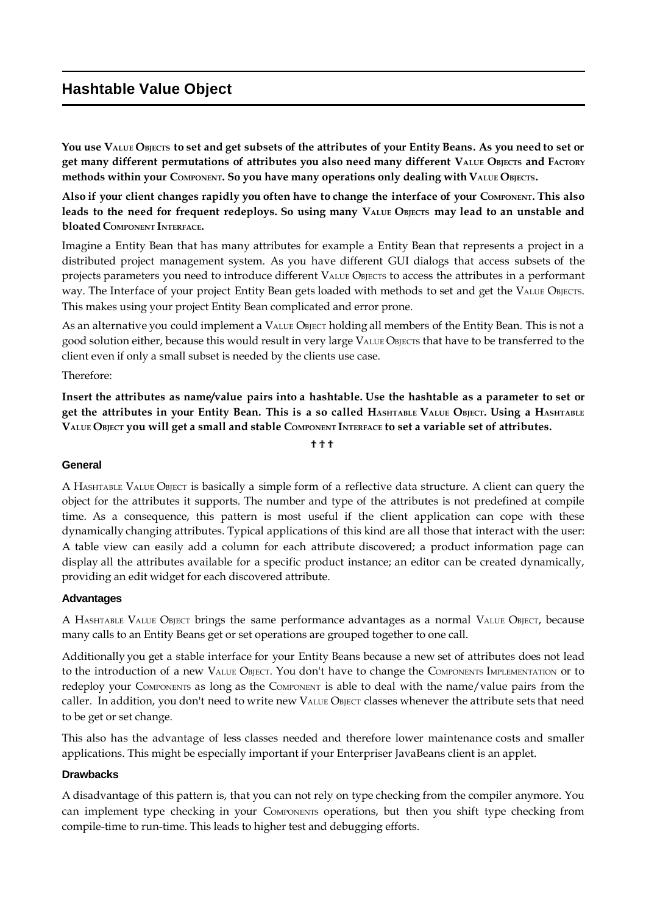# **Hashtable Value Object**

You use VALUE OBJECTS to set and get subsets of the attributes of your Entity Beans. As you need to set or get many different permutations of attributes you also need many different VALUE OBJECTS and FACTORY **methods within your COMPONENT. So you have many operations only dealing with VALUE OBJECTS.**

Also if your client changes rapidly you often have to change the interface of your COMPONENT. This also leads to the need for frequent redeploys. So using many VALUE OBJECTS may lead to an unstable and **bloated COMPONENT INTERFACE.**

Imagine a Entity Bean that has many attributes for example a Entity Bean that represents a project in a distributed project management system. As you have different GUI dialogs that access subsets of the projects parameters you need to introduce different VALUE OBJECTS to access the attributes in a performant way. The Interface of your project Entity Bean gets loaded with methods to set and get the VALUE OBJECTS. This makes using your project Entity Bean complicated and error prone.

As an alternative you could implement a VALUE OBJECT holding all members of the Entity Bean. This is not a good solution either, because this would result in very large VALUE OBJECTS that have to be transferred to the client even if only a small subset is needed by the clients use case.

## Therefore:

Insert the attributes as name/value pairs into a hashtable. Use the hashtable as a parameter to set or get the attributes in your Entity Bean. This is a so called HASHTABLE VALUE OBJECT. Using a HASHTABLE **VALUE OBJECT you will get a small and stable COMPONENT INTERFACE to set a variable set of attributes.**

#### ???

#### **General**

A HASHTABLE VALUE OBJECT is basically a simple form of a reflective data structure. A client can query the object for the attributes it supports. The number and type of the attributes is not predefined at compile time. As a consequence, this pattern is most useful if the client application can cope with these dynamically changing attributes. Typical applications of this kind are all those that interact with the user: A table view can easily add a column for each attribute discovered; a product information page can display all the attributes available for a specific product instance; an editor can be created dynamically, providing an edit widget for each discovered attribute.

#### **Advantages**

A HASHTABLE VALUE OBJECT brings the same performance advantages as a normal VALUE OBJECT, because many calls to an Entity Beans get or set operations are grouped together to one call.

Additionally you get a stable interface for your Entity Beans because a new set of attributes does not lead to the introduction of a new VALUE OBJECT. You don't have to change the COMPONENTS IMPLEMENTATION or to redeploy your COMPONENTS as long as the COMPONENT is able to deal with the name/value pairs from the caller. In addition, you don't need to write new VALUE OBJECT classes whenever the attribute sets that need to be get or set change.

This also has the advantage of less classes needed and therefore lower maintenance costs and smaller applications. This might be especially important if your Enterpriser JavaBeans client is an applet.

## **Drawbacks**

A disadvantage of this pattern is, that you can not rely on type checking from the compiler anymore. You can implement type checking in your COMPONENTS operations, but then you shift type checking from compile-time to run-time. This leads to higher test and debugging efforts.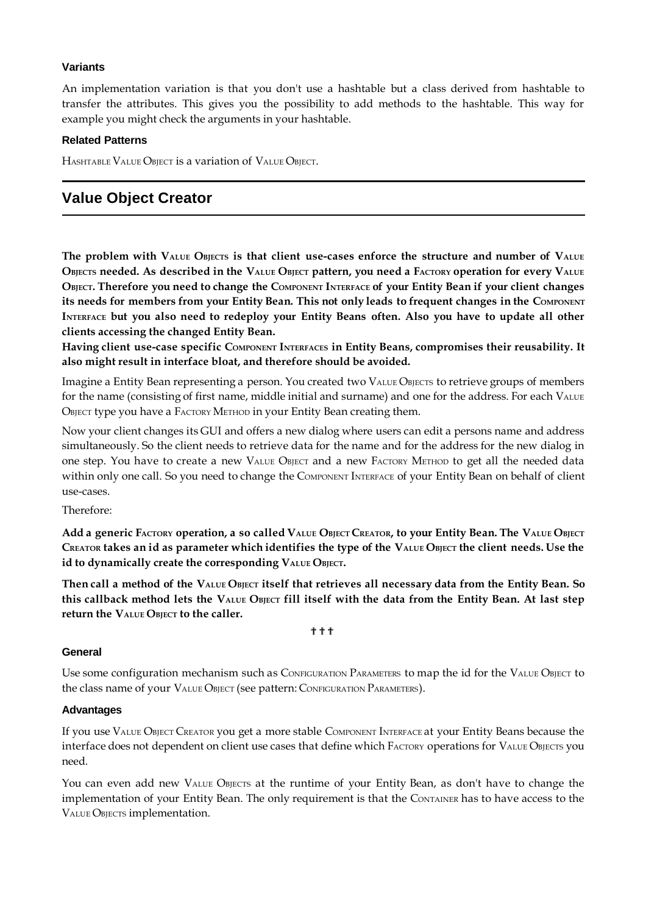#### **Variants**

An implementation variation is that you don't use a hashtable but a class derived from hashtable to transfer the attributes. This gives you the possibility to add methods to the hashtable. This way for example you might check the arguments in your hashtable.

#### **Related Patterns**

HASHTABLE VALUE OBJECT is a variation of VALUE OBJECT.

## **Value Object Creator**

The problem with VALUE OBJECTS is that client use-cases enforce the structure and number of VALUE OBJECTS needed. As described in the VALUE OBJECT pattern, you need a FACTORY operation for every VALUE OBJECT. Therefore you need to change the COMPONENT INTERFACE of your Entity Bean if your client changes its needs for members from your Entity Bean. This not only leads to frequent changes in the COMPONENT INTERFACE but you also need to redeploy your Entity Beans often. Also you have to update all other **clients accessing the changed Entity Bean.**

**Having client use-case specific COMPONENT INTERFACES in Entity Beans, compromises their reusability. It also might result in interface bloat, and therefore should be avoided.**

Imagine a Entity Bean representing a person. You created two VALUE OBJECTS to retrieve groups of members for the name (consisting of first name, middle initial and surname) and one for the address. For each VALUE OBJECT type you have a FACTORY METHOD in your Entity Bean creating them.

Now your client changes its GUI and offers a new dialog where users can edit a persons name and address simultaneously. So the client needs to retrieve data for the name and for the address for the new dialog in one step. You have to create a new VALUE OBJECT and a new FACTORY METHOD to get all the needed data within only one call. So you need to change the COMPONENT INTERFACE of your Entity Bean on behalf of client use-cases.

Therefore:

Add a generic FACTORY operation, a so called VALUE OBJECT CREATOR, to your Entity Bean. The VALUE OBJECT CREATOR takes an id as parameter which identifies the type of the VALUE OBJECT the client needs. Use the **id to dynamically create the corresponding VALUE OBJECT.**

Then call a method of the VALUE OBJECT itself that retrieves all necessary data from the Entity Bean. So this callback method lets the VALUE OBJECT fill itself with the data from the Entity Bean. At last step **return the VALUE OBJECT to the caller.** 

???

#### **General**

Use some configuration mechanism such as CONFIGURATION PARAMETERS to map the id for the VALUE OBJECT to the class name of your VALUE OBJECT (see pattern: CONFIGURATION PARAMETERS).

#### **Advantages**

If you use VALUE OBJECT CREATOR you get a more stable COMPONENT INTERFACE at your Entity Beans because the interface does not dependent on client use cases that define which FACTORY operations for VALUE OBJECTS you need.

You can even add new VALUE OBJECTS at the runtime of your Entity Bean, as don't have to change the implementation of your Entity Bean. The only requirement is that the CONTAINER has to have access to the VALUE OBJECTS implementation.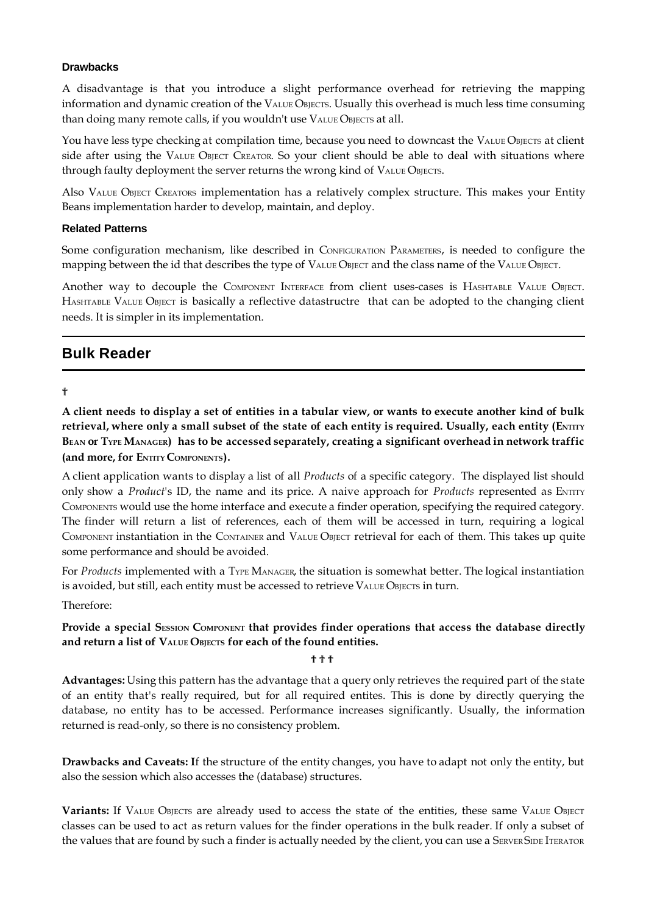#### **Drawbacks**

A disadvantage is that you introduce a slight performance overhead for retrieving the mapping information and dynamic creation of the VALUE OBJECTS. Usually this overhead is much less time consuming than doing many remote calls, if you wouldn't use VALUE OBJECTS at all.

You have less type checking at compilation time, because you need to downcast the VALUE OBJECTS at client side after using the VALUE OBJECT CREATOR. So your client should be able to deal with situations where through faulty deployment the server returns the wrong kind of VALUE OBJECTS.

Also VALUE OBJECT CREATORS implementation has a relatively complex structure. This makes your Entity Beans implementation harder to develop, maintain, and deploy.

#### **Related Patterns**

Some configuration mechanism, like described in CONFIGURATION PARAMETERS, is needed to configure the mapping between the id that describes the type of VALUE OBJECT and the class name of the VALUE OBJECT.

Another way to decouple the COMPONENT INTERFACE from client uses-cases is HASHTABLE VALUE OBJECT. HASHTABLE VALUE OBJECT is basically a reflective datastructre that can be adopted to the changing client needs. It is simpler in its implementation.

## **Bulk Reader**

?

A client needs to display a set of entities in a tabular view, or wants to execute another kind of bulk retrieval, where only a small subset of the state of each entity is required. Usually, each entity (ENTITY BEAN OF TYPE MANAGER) has to be accessed separately, creating a significant overhead in network traffic **(and more, for ENTITY COMPONENTS).**

A client application wants to display a list of all *Products* of a specific category. The displayed list should only show a *Product's ID*, the name and its price. A naive approach for *Products* represented as ENTITY COMPONENTS would use the home interface and execute a finder operation, specifying the required category. The finder will return a list of references, each of them will be accessed in turn, requiring a logical COMPONENT instantiation in the CONTAINER and VALUE OBJECT retrieval for each of them. This takes up quite some performance and should be avoided.

For *Products* implemented with a TYPE MANAGER, the situation is somewhat better. The logical instantiation is avoided, but still, each entity must be accessed to retrieve VALUE OBJECTS in turn.

Therefore:

## **Provide a special SESSION COMPONENT that provides finder operations that access the database directly and return a list of VALUE OBJECTS for each of the found entities.**

???

**Advantages:** Using this pattern has the advantage that a query only retrieves the required part of the state of an entity that's really required, but for all required entites. This is done by directly querying the database, no entity has to be accessed. Performance increases significantly. Usually, the information returned is read-only, so there is no consistency problem.

**Drawbacks and Caveats: I**f the structure of the entity changes, you have to adapt not only the entity, but also the session which also accesses the (database) structures.

Variants: If VALUE OBJECTS are already used to access the state of the entities, these same VALUE OBJECT classes can be used to act as return values for the finder operations in the bulk reader. If only a subset of the values that are found by such a finder is actually needed by the client, you can use a SERVER SIDE ITERATOR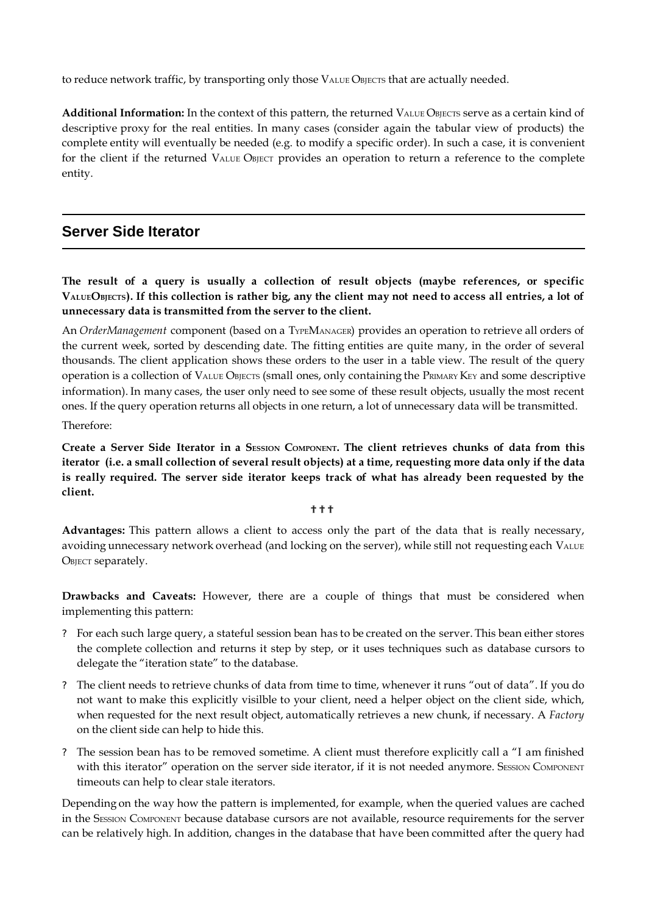to reduce network traffic, by transporting only those VALUE OBJECTS that are actually needed.

Additional Information: In the context of this pattern, the returned VALUE OBJECTS serve as a certain kind of descriptive proxy for the real entities. In many cases (consider again the tabular view of products) the complete entity will eventually be needed (e.g. to modify a specific order). In such a case, it is convenient for the client if the returned VALUE OBJECT provides an operation to return a reference to the complete entity.

## **Server Side Iterator**

**The result of a query is usually a collection of result objects (maybe references, or specific** VALUEOBJECTS). If this collection is rather big, any the client may not need to access all entries, a lot of **unnecessary data is transmitted from the server to the client.**

An *OrderManagement* component (based on a TYPEMANAGER) provides an operation to retrieve all orders of the current week, sorted by descending date. The fitting entities are quite many, in the order of several thousands. The client application shows these orders to the user in a table view. The result of the query operation is a collection of VALUE OBJECTS (small ones, only containing the PRIMARY KEY and some descriptive information). In many cases, the user only need to see some of these result objects, usually the most recent ones. If the query operation returns all objects in one return, a lot of unnecessary data will be transmitted.

Therefore:

Create a Server Side Iterator in a SESSION COMPONENT. The client retrieves chunks of data from this **iterator (i.e. a small collection of several result objects) at a time, requesting more data only if the data is really required. The server side iterator keeps track of what has already been requested by the client.**

#### ???

**Advantages:** This pattern allows a client to access only the part of the data that is really necessary, avoiding unnecessary network overhead (and locking on the server), while still not requesting each VALUE OBJECT separately.

**Drawbacks and Caveats:** However, there are a couple of things that must be considered when implementing this pattern:

- ? For each such large query, a stateful session bean has to be created on the server. This bean either stores the complete collection and returns it step by step, or it uses techniques such as database cursors to delegate the "iteration state" to the database.
- ? The client needs to retrieve chunks of data from time to time, whenever it runs "out of data". If you do not want to make this explicitly visilble to your client, need a helper object on the client side, which, when requested for the next result object, automatically retrieves a new chunk, if necessary. A *Factory* on the client side can help to hide this.
- ? The session bean has to be removed sometime. A client must therefore explicitly call a "I am finished with this iterator" operation on the server side iterator, if it is not needed anymore. SESSION COMPONENT timeouts can help to clear stale iterators.

Depending on the way how the pattern is implemented, for example, when the queried values are cached in the SESSION COMPONENT because database cursors are not available, resource requirements for the server can be relatively high. In addition, changes in the database that have been committed after the query had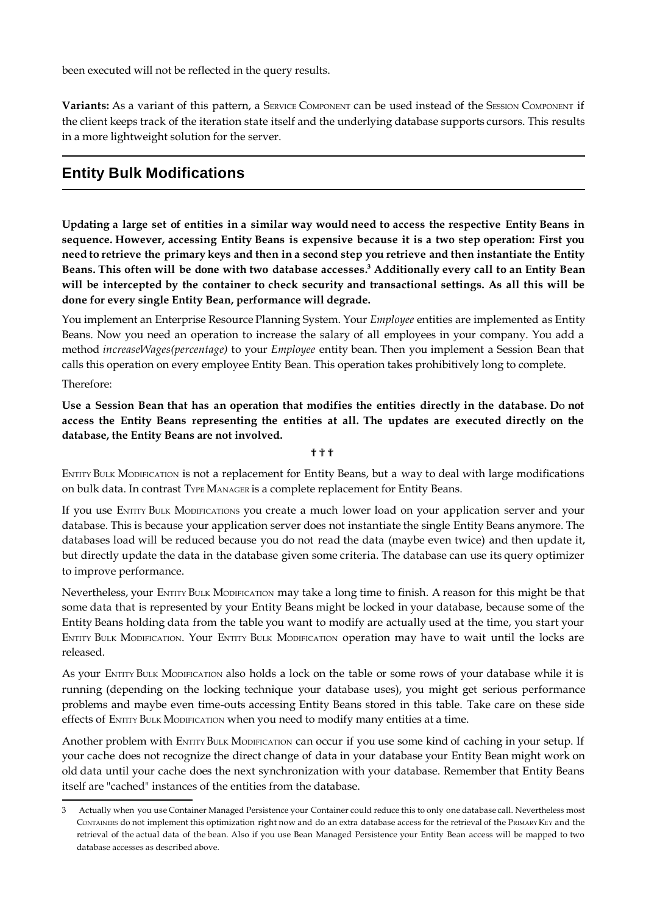been executed will not be reflected in the query results.

**Variants:** As a variant of this pattern, a SERVICE COMPONENT can be used instead of the SESSION COMPONENT if the client keeps track of the iteration state itself and the underlying database supports cursors. This results in a more lightweight solution for the server.

# **Entity Bulk Modifications**

Updating a large set of entities in a similar way would need to access the respective Entity Beans in **sequence. However, accessing Entity Beans is expensive because it is a two step operation: First you** need to retrieve the primary keys and then in a second step you retrieve and then instantiate the Entity Beans. This often will be done with two database accesses.<sup>3</sup> Additionally every call to an Entity Bean **will be intercepted by the container to check security and transactional settings. As all this will be done for every single Entity Bean, performance will degrade.**

You implement an Enterprise Resource Planning System. Your *Employee* entities are implemented as Entity Beans. Now you need an operation to increase the salary of all employees in your company. You add a method *increaseWages(percentage)* to your *Employee* entity bean. Then you implement a Session Bean that calls this operation on every employee Entity Bean. This operation takes prohibitively long to complete.

Therefore:

Use a Session Bean that has an operation that modifies the entities directly in the database. Do not **access the Entity Beans representing the entities at all. The updates are executed directly on the database, the Entity Beans are not involved.**

#### ???

ENTITY BULK MODIFICATION is not a replacement for Entity Beans, but a way to deal with large modifications on bulk data. In contrast TYPE MANAGER is a complete replacement for Entity Beans.

If you use ENTITY BULK MODIFICATIONS you create a much lower load on your application server and your database. This is because your application server does not instantiate the single Entity Beans anymore. The databases load will be reduced because you do not read the data (maybe even twice) and then update it, but directly update the data in the database given some criteria. The database can use its query optimizer to improve performance.

Nevertheless, your ENTITY BULK MODIFICATION may take a long time to finish. A reason for this might be that some data that is represented by your Entity Beans might be locked in your database, because some of the Entity Beans holding data from the table you want to modify are actually used at the time, you start your ENTITY BULK MODIFICATION. Your ENTITY BULK MODIFICATION operation may have to wait until the locks are released.

As your ENTITY BULK MODIFICATION also holds a lock on the table or some rows of your database while it is running (depending on the locking technique your database uses), you might get serious performance problems and maybe even time-outs accessing Entity Beans stored in this table. Take care on these side effects of ENTITY BULK MODIFICATION when you need to modify many entities at a time.

Another problem with ENTITY BULK MODIFICATION can occur if you use some kind of caching in your setup. If your cache does not recognize the direct change of data in your database your Entity Bean might work on old data until your cache does the next synchronization with your database. Remember that Entity Beans itself are "cached" instances of the entities from the database.

<sup>3</sup> Actually when you use Container Managed Persistence your Container could reduce this to only one database call. Nevertheless most CONTAINERS do not implement this optimization right now and do an extra database access for the retrieval of the PRIMARY KEY and the retrieval of the actual data of the bean. Also if you use Bean Managed Persistence your Entity Bean access will be mapped to two database accesses as described above.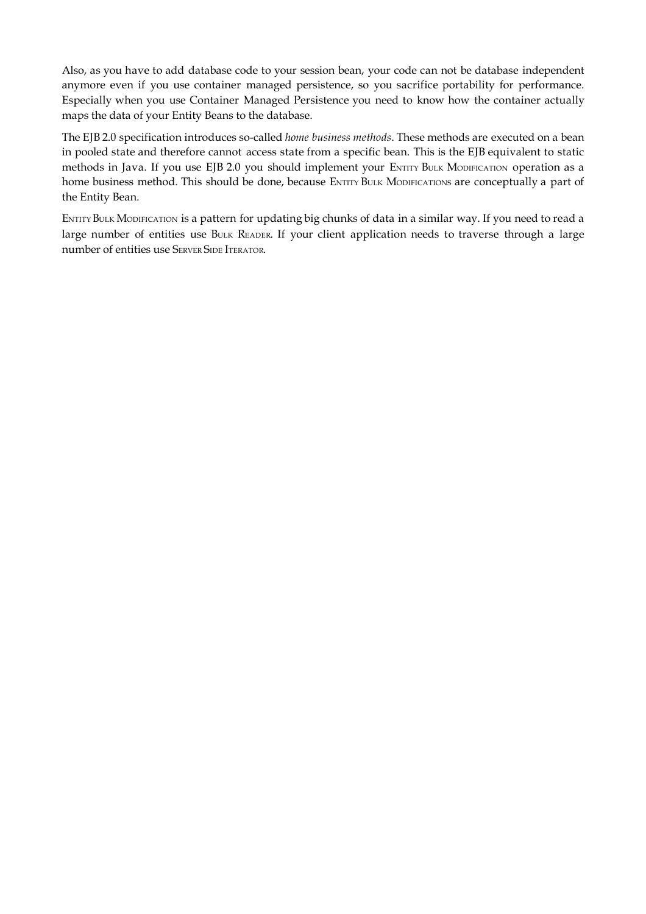Also, as you have to add database code to your session bean, your code can not be database independent anymore even if you use container managed persistence, so you sacrifice portability for performance. Especially when you use Container Managed Persistence you need to know how the container actually maps the data of your Entity Beans to the database.

The EJB 2.0 specification introduces so-called *home business methods*. These methods are executed on a bean in pooled state and therefore cannot access state from a specific bean. This is the EJB equivalent to static methods in Java. If you use EJB 2.0 you should implement your ENTITY BULK MODIFICATION operation as a home business method. This should be done, because ENTITY BULK MODIFICATIONS are conceptually a part of the Entity Bean.

ENTITY BULK MODIFICATION is a pattern for updating big chunks of data in a similar way. If you need to read a large number of entities use BULK READER. If your client application needs to traverse through a large number of entities use SERVER SIDE ITERATOR.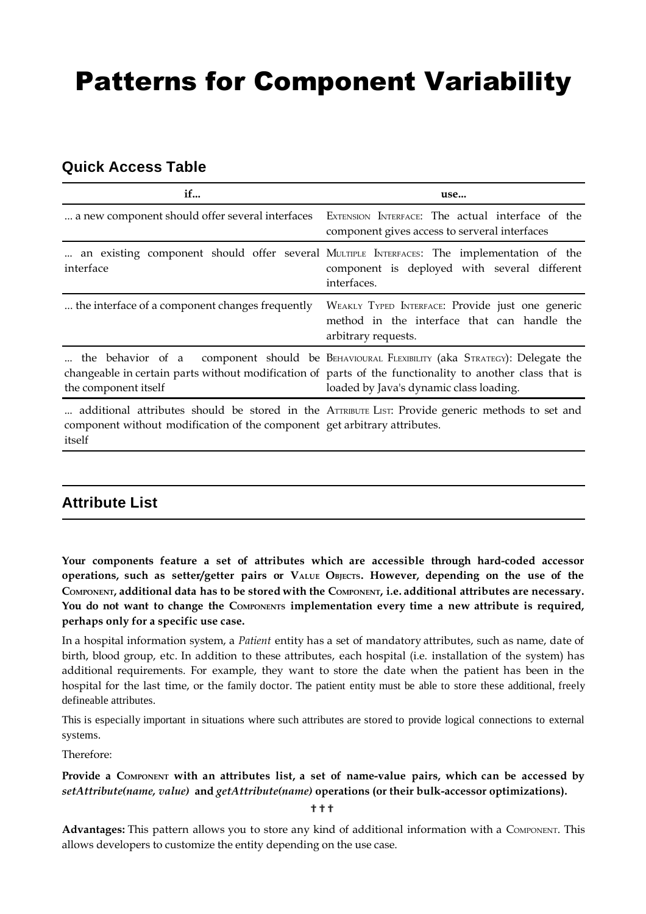# Patterns for Component Variability

# **Quick Access Table**

| if                                                                                  | use                                                                                                                                                                                                                                              |
|-------------------------------------------------------------------------------------|--------------------------------------------------------------------------------------------------------------------------------------------------------------------------------------------------------------------------------------------------|
| a new component should offer several interfaces                                     | EXTENSION INTERFACE: The actual interface of the<br>component gives access to serveral interfaces                                                                                                                                                |
| interface                                                                           | an existing component should offer several MULTIPLE INTERFACES: The implementation of the<br>component is deployed with several different<br>interfaces.                                                                                         |
| the interface of a component changes frequently                                     | WEAKLY TYPED INTERFACE: Provide just one generic<br>method in the interface that can handle the<br>arbitrary requests.                                                                                                                           |
| the component itself                                                                | the behavior of a component should be BEHAVIOURAL FLEXIBILITY (aka STRATEGY): Delegate the<br>changeable in certain parts without modification of parts of the functionality to another class that is<br>loaded by Java's dynamic class loading. |
| component without modification of the component get arbitrary attributes.<br>itself | additional attributes should be stored in the ATTRIBUTE LIST: Provide generic methods to set and                                                                                                                                                 |

# **Attribute List**

**Your components feature a set of attributes which are accessible through hard-coded accessor operations, such as setter/getter pairs or VALUE OBJECTS. However, depending on the use of the** COMPONENT, additional data has to be stored with the COMPONENT, i.e. additional attributes are necessary. **You do not want to change the COMPONENTS implementation every time a new attribute is required, perhaps only for a specific use case.**

In a hospital information system, a *Patient* entity has a set of mandatory attributes, such as name, date of birth, blood group, etc. In addition to these attributes, each hospital (i.e. installation of the system) has additional requirements. For example, they want to store the date when the patient has been in the hospital for the last time, or the family doctor. The patient entity must be able to store these additional, freely defineable attributes.

This is especially important in situations where such attributes are stored to provide logical connections to external systems.

Therefore:

## **Provide a COMPONENT with an attributes list, a set of name-value pairs, which can be accessed by** *setAttribute(name, value)* **and** *getAttribute(name)* **operations (or their bulk-accessor optimizations).**

???

**Advantages:** This pattern allows you to store any kind of additional information with a COMPONENT. This allows developers to customize the entity depending on the use case.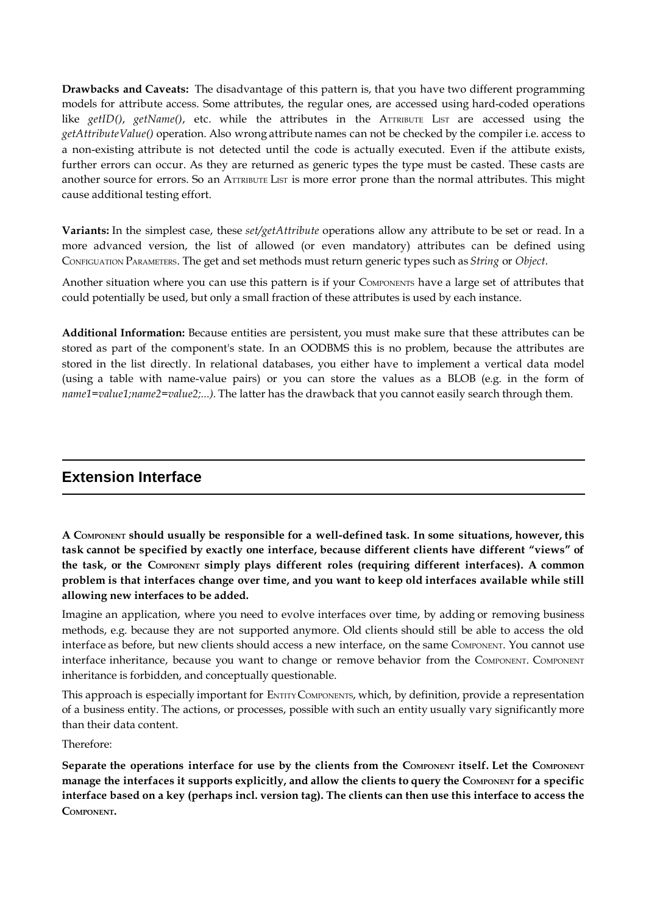**Drawbacks and Caveats:** The disadvantage of this pattern is, that you have two different programming models for attribute access. Some attributes, the regular ones, are accessed using hard-coded operations like *getID()*, *getName()*, etc. while the attributes in the ATTRIBUTE LIST are accessed using the *getAttributeValue()* operation. Also wrong attribute names can not be checked by the compiler i.e. access to a non-existing attribute is not detected until the code is actually executed. Even if the attibute exists, further errors can occur. As they are returned as generic types the type must be casted. These casts are another source for errors. So an ATTRIBUTE LIST is more error prone than the normal attributes. This might cause additional testing effort.

**Variants:** In the simplest case, these *set/getAttribute* operations allow any attribute to be set or read. In a more advanced version, the list of allowed (or even mandatory) attributes can be defined using CONFIGUATION PARAMETERS. The get and set methods must return generic types such as *String* or *Object*.

Another situation where you can use this pattern is if your COMPONENTS have a large set of attributes that could potentially be used, but only a small fraction of these attributes is used by each instance.

**Additional Information:** Because entities are persistent, you must make sure that these attributes can be stored as part of the component's state. In an OODBMS this is no problem, because the attributes are stored in the list directly. In relational databases, you either have to implement a vertical data model (using a table with name-value pairs) or you can store the values as a BLOB (e.g. in the form of *name1=value1;name2=value2;...).* The latter has the drawback that you cannot easily search through them.

# **Extension Interface**

**A COMPONENT should usually be responsible for a well-defined task. In some situations, however, this task cannot be specified by exactly one interface, because different clients have different "views" of the task, or the COMPONENT simply plays different roles (requiring different interfaces). A common problem is that interfaces change over time, and you want to keep old interfaces available while still allowing new interfaces to be added.**

Imagine an application, where you need to evolve interfaces over time, by adding or removing business methods, e.g. because they are not supported anymore. Old clients should still be able to access the old interface as before, but new clients should access a new interface, on the same COMPONENT. You cannot use interface inheritance, because you want to change or remove behavior from the COMPONENT. COMPONENT inheritance is forbidden, and conceptually questionable.

This approach is especially important for ENTITYCOMPONENTS, which, by definition, provide a representation of a business entity. The actions, or processes, possible with such an entity usually vary significantly more than their data content.

Therefore:

Separate the operations interface for use by the clients from the COMPONENT itself. Let the COMPONENT manage the interfaces it supports explicitly, and allow the clients to query the COMPONENT for a specific **interface based on a key (perhaps incl. version tag). The clients can then use this interface to access the COMPONENT.**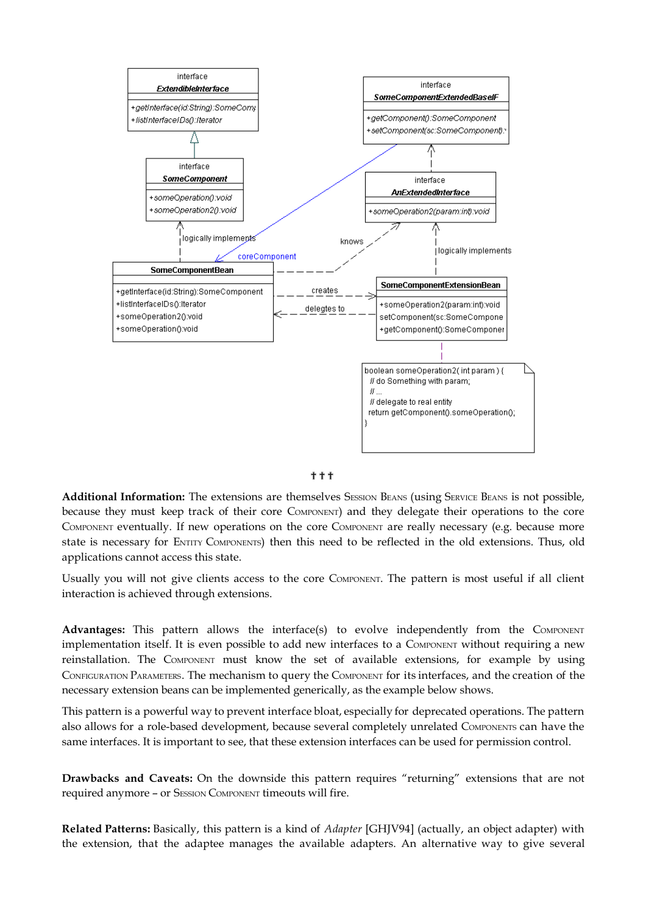



**Additional Information:** The extensions are themselves SESSION BEANS (using SERVICE BEANS is not possible, because they must keep track of their core COMPONENT) and they delegate their operations to the core COMPONENT eventually. If new operations on the core COMPONENT are really necessary (e.g. because more state is necessary for ENTITY COMPONENTS) then this need to be reflected in the old extensions. Thus, old applications cannot access this state.

Usually you will not give clients access to the core COMPONENT. The pattern is most useful if all client interaction is achieved through extensions.

**Advantages:** This pattern allows the interface(s) to evolve independently from the COMPONENT implementation itself. It is even possible to add new interfaces to a COMPONENT without requiring a new reinstallation. The COMPONENT must know the set of available extensions, for example by using CONFIGURATION PARAMETERS. The mechanism to query the COMPONENT for its interfaces, and the creation of the necessary extension beans can be implemented generically, as the example below shows.

This pattern is a powerful way to prevent interface bloat, especially for deprecated operations. The pattern also allows for a role-based development, because several completely unrelated COMPONENTS can have the same interfaces. It is important to see, that these extension interfaces can be used for permission control.

**Drawbacks and Caveats:** On the downside this pattern requires "returning" extensions that are not required anymore - or SESSION COMPONENT timeouts will fire.

**Related Patterns:** Basically, this pattern is a kind of *Adapter* [GHJV94] (actually, an object adapter) with the extension, that the adaptee manages the available adapters. An alternative way to give several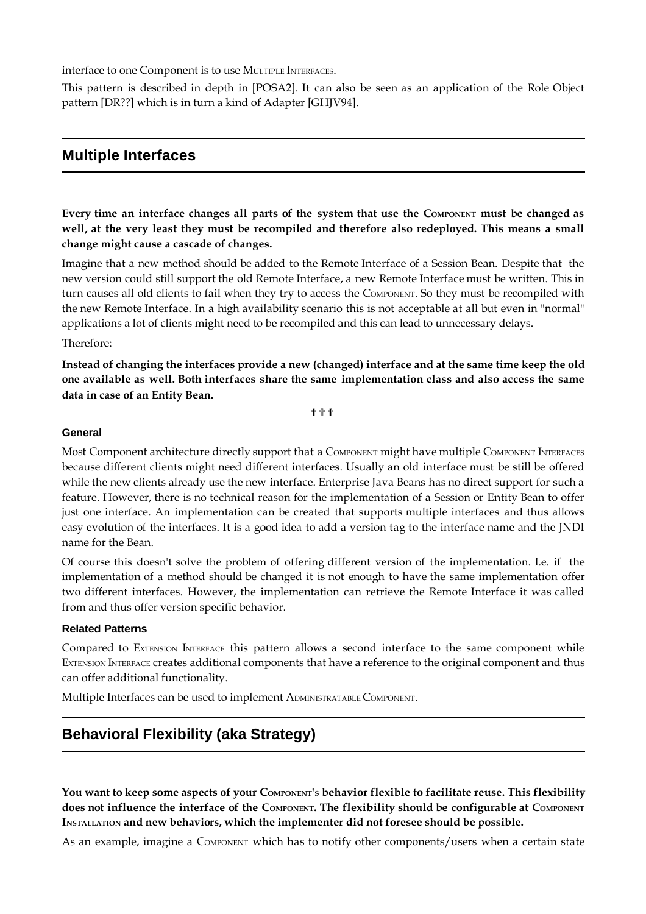interface to one Component is to use MULTIPLE INTERFACES.

This pattern is described in depth in [POSA2]. It can also be seen as an application of the Role Object pattern [DR??] which is in turn a kind of Adapter [GHJV94].

## **Multiple Interfaces**

Every time an interface changes all parts of the system that use the COMPONENT must be changed as **well, at the very least they must be recompiled and therefore also redeployed. This means a small change might cause a cascade of changes.**

Imagine that a new method should be added to the Remote Interface of a Session Bean. Despite that the new version could still support the old Remote Interface, a new Remote Interface must be written. This in turn causes all old clients to fail when they try to access the COMPONENT. So they must be recompiled with the new Remote Interface. In a high availability scenario this is not acceptable at all but even in "normal" applications a lot of clients might need to be recompiled and this can lead to unnecessary delays.

#### Therefore:

**Instead of changing the interfaces provide a new (changed) interface and at the same time keep the old one available as well. Both interfaces share the same implementation class and also access the same data in case of an Entity Bean.**

???

#### **General**

Most Component architecture directly support that a COMPONENT might have multiple COMPONENT INTERFACES because different clients might need different interfaces. Usually an old interface must be still be offered while the new clients already use the new interface. Enterprise Java Beans has no direct support for such a feature. However, there is no technical reason for the implementation of a Session or Entity Bean to offer just one interface. An implementation can be created that supports multiple interfaces and thus allows easy evolution of the interfaces. It is a good idea to add a version tag to the interface name and the JNDI name for the Bean.

Of course this doesn't solve the problem of offering different version of the implementation. I.e. if the implementation of a method should be changed it is not enough to have the same implementation offer two different interfaces. However, the implementation can retrieve the Remote Interface it was called from and thus offer version specific behavior.

#### **Related Patterns**

Compared to EXTENSION INTERFACE this pattern allows a second interface to the same component while EXTENSION INTERFACE creates additional components that have a reference to the original component and thus can offer additional functionality.

Multiple Interfaces can be used to implement ADMINISTRATABLE COMPONENT.

# **Behavioral Flexibility (aka Strategy)**

**You want to keep some aspects of your COMPONENT'S behavior flexible to facilitate reuse. This flexibility** does not influence the interface of the COMPONENT. The flexibility should be configurable at COMPONENT **INSTALLATION and new behaviors, which the implementer did not foresee should be possible.**

As an example, imagine a COMPONENT which has to notify other components/users when a certain state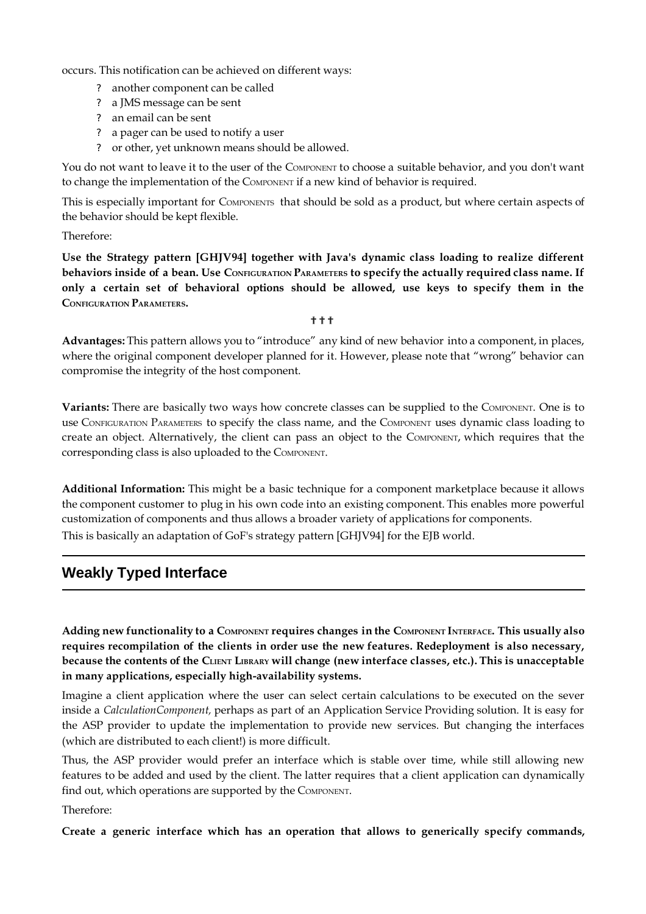occurs. This notification can be achieved on different ways:

- ? another component can be called
- ? a JMS message can be sent
- ? an email can be sent
- ? a pager can be used to notify a user
- ? or other, yet unknown means should be allowed.

You do not want to leave it to the user of the COMPONENT to choose a suitable behavior, and you don't want to change the implementation of the COMPONENT if a new kind of behavior is required.

This is especially important for COMPONENTS that should be sold as a product, but where certain aspects of the behavior should be kept flexible.

Therefore:

**Use the Strategy pattern [GHJV94] together with Java's dynamic class loading to realize different** behaviors inside of a bean. Use CONFIGURATION PARAMETERS to specify the actually required class name. If **only a certain set of behavioral options should be allowed, use keys to specify them in the CONFIGURATION PARAMETERS.**

???

**Advantages:** This pattern allows you to "introduce" any kind of new behavior into a component, in places, where the original component developer planned for it. However, please note that "wrong" behavior can compromise the integrity of the host component.

**Variants:** There are basically two ways how concrete classes can be supplied to the COMPONENT. One is to use CONFIGURATION PARAMETERS to specify the class name, and the COMPONENT uses dynamic class loading to create an object. Alternatively, the client can pass an object to the COMPONENT, which requires that the corresponding class is also uploaded to the COMPONENT.

**Additional Information:** This might be a basic technique for a component marketplace because it allows the component customer to plug in his own code into an existing component. This enables more powerful customization of components and thus allows a broader variety of applications for components. This is basically an adaptation of GoF's strategy pattern [GHJV94] for the EJB world.

# **Weakly Typed Interface**

Adding new functionality to a COMPONENT requires changes in the COMPONENT INTERFACE. This usually also **requires recompilation of the clients in order use the new features. Redeployment is also necessary,** because the contents of the CLIENT LIBRARY Will change (new interface classes, etc.). This is unacceptable **in many applications, especially high-availability systems.**

Imagine a client application where the user can select certain calculations to be executed on the sever inside a *CalculationComponent,* perhaps as part of an Application Service Providing solution. It is easy for the ASP provider to update the implementation to provide new services. But changing the interfaces (which are distributed to each client!) is more difficult.

Thus, the ASP provider would prefer an interface which is stable over time, while still allowing new features to be added and used by the client. The latter requires that a client application can dynamically find out, which operations are supported by the COMPONENT.

Therefore:

**Create a generic interface which has an operation that allows to generically specify commands,**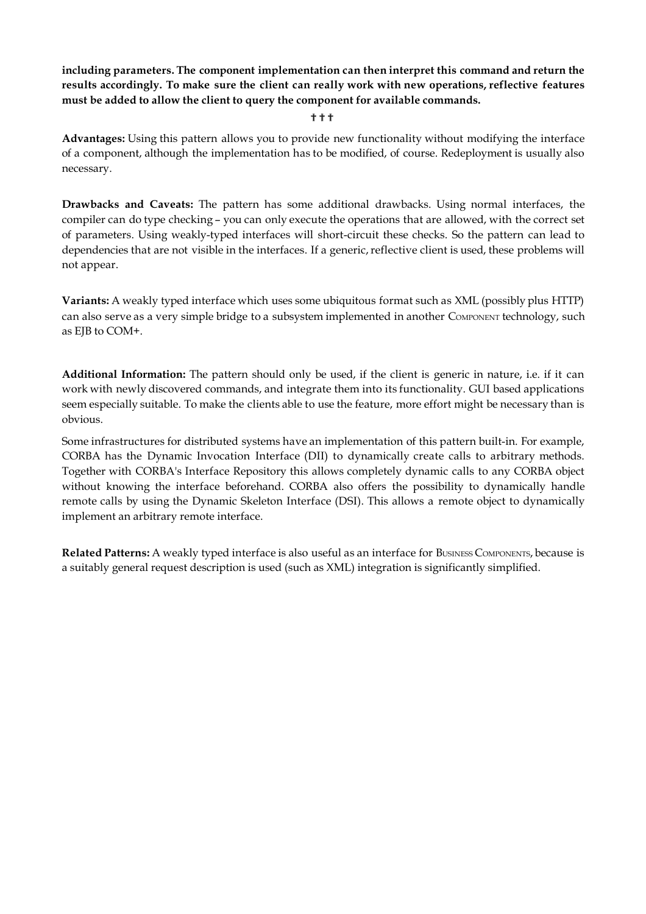**including parameters. The component implementation can then interpret this command and return the results accordingly. To make sure the client can really work with new operations, reflective features must be added to allow the client to query the component for available commands.**

???

**Advantages:** Using this pattern allows you to provide new functionality without modifying the interface of a component, although the implementation has to be modified, of course. Redeployment is usually also necessary.

**Drawbacks and Caveats:** The pattern has some additional drawbacks. Using normal interfaces, the compiler can do type checking – you can only execute the operations that are allowed, with the correct set of parameters. Using weakly-typed interfaces will short-circuit these checks. So the pattern can lead to dependencies that are not visible in the interfaces. If a generic, reflective client is used, these problems will not appear.

**Variants:** A weakly typed interface which uses some ubiquitous format such as XML (possibly plus HTTP) can also serve as a very simple bridge to a subsystem implemented in another COMPONENT technology, such as EJB to COM+.

**Additional Information:** The pattern should only be used, if the client is generic in nature, i.e. if it can work with newly discovered commands, and integrate them into its functionality. GUI based applications seem especially suitable. To make the clients able to use the feature, more effort might be necessary than is obvious.

Some infrastructures for distributed systems have an implementation of this pattern built-in. For example, CORBA has the Dynamic Invocation Interface (DII) to dynamically create calls to arbitrary methods. Together with CORBA's Interface Repository this allows completely dynamic calls to any CORBA object without knowing the interface beforehand. CORBA also offers the possibility to dynamically handle remote calls by using the Dynamic Skeleton Interface (DSI). This allows a remote object to dynamically implement an arbitrary remote interface.

**Related Patterns:** A weakly typed interface is also useful as an interface for BUSINESS COMPONENTS, because is a suitably general request description is used (such as XML) integration is significantly simplified.